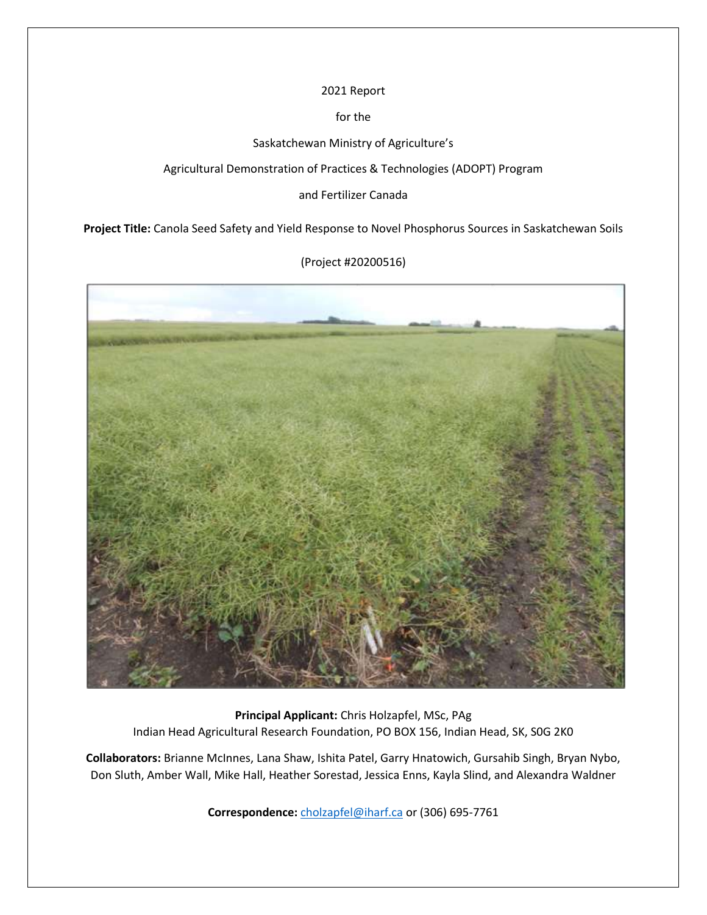2021 Report

for the

Saskatchewan Ministry of Agriculture's

Agricultural Demonstration of Practices & Technologies (ADOPT) Program

and Fertilizer Canada

**Project Title:** Canola Seed Safety and Yield Response to Novel Phosphorus Sources in Saskatchewan Soils



(Project #20200516)

**Principal Applicant:** Chris Holzapfel, MSc, PAg Indian Head Agricultural Research Foundation, PO BOX 156, Indian Head, SK, S0G 2K0

**Collaborators:** Brianne McInnes, Lana Shaw, Ishita Patel, Garry Hnatowich, Gursahib Singh, Bryan Nybo, Don Sluth, Amber Wall, Mike Hall, Heather Sorestad, Jessica Enns, Kayla Slind, and Alexandra Waldner

**Correspondence:** [cholzapfel@iharf.ca](mailto:cholzapfel@iharf.ca) or (306) 695-7761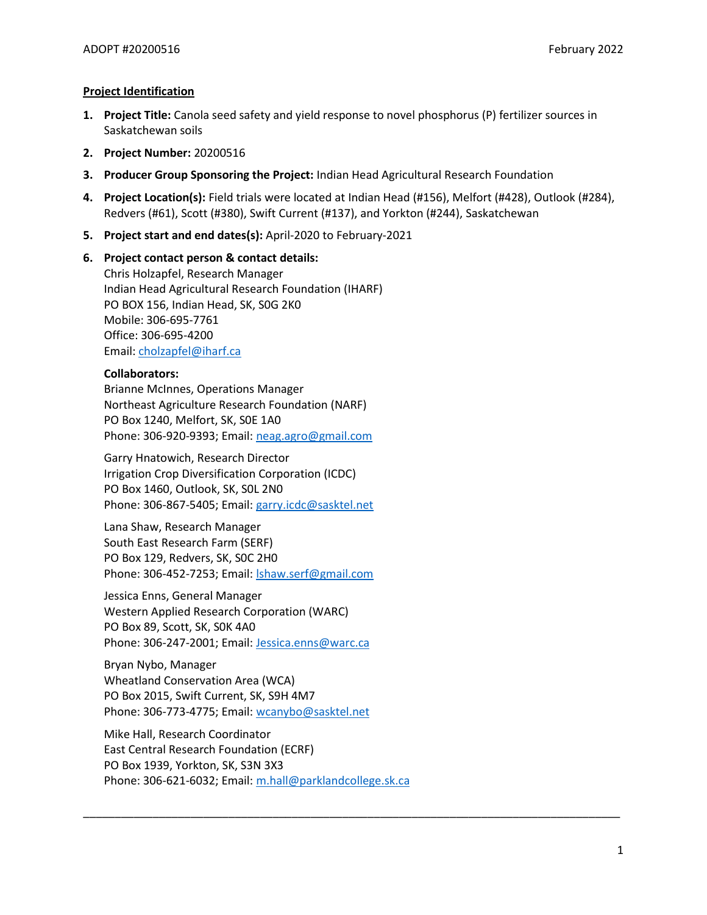# **Project Identification**

- **1. Project Title:** Canola seed safety and yield response to novel phosphorus (P) fertilizer sources in Saskatchewan soils
- **2. Project Number:** 20200516
- **3. Producer Group Sponsoring the Project:** Indian Head Agricultural Research Foundation
- **4. Project Location(s):** Field trials were located at Indian Head (#156), Melfort (#428), Outlook (#284), Redvers (#61), Scott (#380), Swift Current (#137), and Yorkton (#244), Saskatchewan
- **5. Project start and end dates(s):** April-2020 to February-2021

# **6. Project contact person & contact details:**

Chris Holzapfel, Research Manager Indian Head Agricultural Research Foundation (IHARF) PO BOX 156, Indian Head, SK, S0G 2K0 Mobile: 306-695-7761 Office: 306-695-4200 Email: [cholzapfel@iharf.ca](mailto:cholzapfel@iharf.ca)

# **Collaborators:**

Brianne McInnes, Operations Manager Northeast Agriculture Research Foundation (NARF) PO Box 1240, Melfort, SK, S0E 1A0 Phone: 306-920-9393; Email: [neag.agro@gmail.com](mailto:neag.agro@gmail.com)

Garry Hnatowich, Research Director Irrigation Crop Diversification Corporation (ICDC) PO Box 1460, Outlook, SK, S0L 2N0 Phone: 306-867-5405; Email: garry.icdc@sasktel.net

Lana Shaw, Research Manager South East Research Farm (SERF) PO Box 129, Redvers, SK, S0C 2H0 Phone: 306-452-7253; Email: [lshaw.serf@gmail.com](mailto:lshaw.serf@gmail.com)

Jessica Enns, General Manager Western Applied Research Corporation (WARC) PO Box 89, Scott, SK, S0K 4A0 Phone: 306-247-2001; Email: [Jessica.enns@warc.ca](mailto:Jessica.enns@warc.ca)

Bryan Nybo, Manager Wheatland Conservation Area (WCA) PO Box 2015, Swift Current, SK, S9H 4M7 Phone: 306-773-4775; Email: [wcanybo@sasktel.net](mailto:wcanybo@sasktel.net)

Mike Hall, Research Coordinator East Central Research Foundation (ECRF) PO Box 1939, Yorkton, SK, S3N 3X3 Phone: 306-621-6032; Email: [m.hall@parklandcollege.sk.ca](mailto:m.hall@parklandcollege.sk.ca)

\_\_\_\_\_\_\_\_\_\_\_\_\_\_\_\_\_\_\_\_\_\_\_\_\_\_\_\_\_\_\_\_\_\_\_\_\_\_\_\_\_\_\_\_\_\_\_\_\_\_\_\_\_\_\_\_\_\_\_\_\_\_\_\_\_\_\_\_\_\_\_\_\_\_\_\_\_\_\_\_\_\_\_\_\_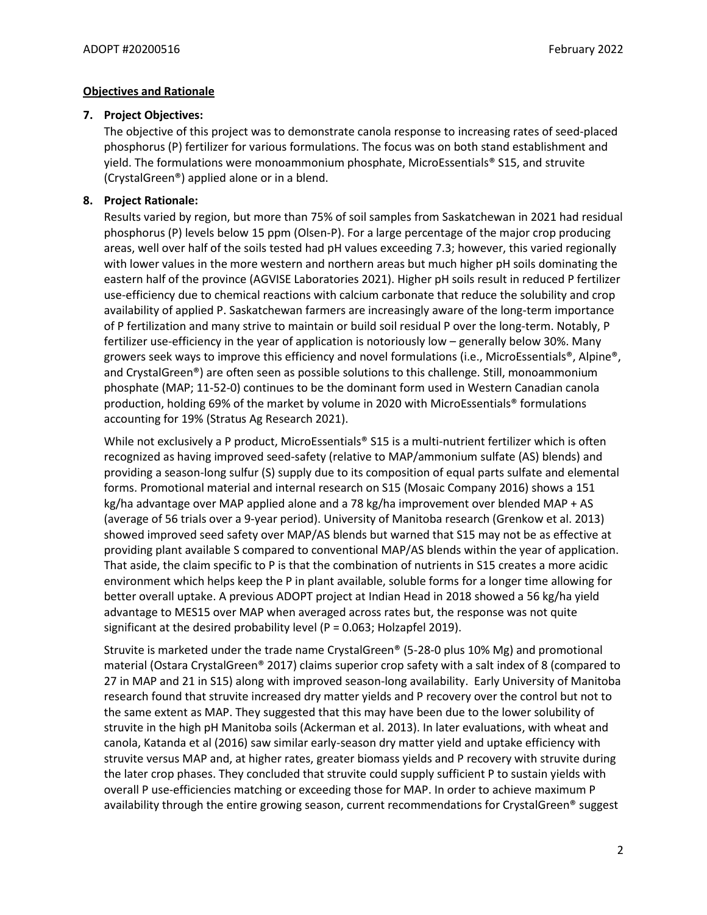# **Objectives and Rationale**

# **7. Project Objectives:**

The objective of this project was to demonstrate canola response to increasing rates of seed-placed phosphorus (P) fertilizer for various formulations. The focus was on both stand establishment and yield. The formulations were monoammonium phosphate, MicroEssentials® S15, and struvite (CrystalGreen®) applied alone or in a blend.

# **8. Project Rationale:**

Results varied by region, but more than 75% of soil samples from Saskatchewan in 2021 had residual phosphorus (P) levels below 15 ppm (Olsen-P). For a large percentage of the major crop producing areas, well over half of the soils tested had pH values exceeding 7.3; however, this varied regionally with lower values in the more western and northern areas but much higher pH soils dominating the eastern half of the province (AGVISE Laboratories 2021). Higher pH soils result in reduced P fertilizer use-efficiency due to chemical reactions with calcium carbonate that reduce the solubility and crop availability of applied P. Saskatchewan farmers are increasingly aware of the long-term importance of P fertilization and many strive to maintain or build soil residual P over the long-term. Notably, P fertilizer use-efficiency in the year of application is notoriously low – generally below 30%. Many growers seek ways to improve this efficiency and novel formulations (i.e., MicroEssentials®, Alpine®, and CrystalGreen®) are often seen as possible solutions to this challenge. Still, monoammonium phosphate (MAP; 11-52-0) continues to be the dominant form used in Western Canadian canola production, holding 69% of the market by volume in 2020 with MicroEssentials® formulations accounting for 19% (Stratus Ag Research 2021).

While not exclusively a P product, MicroEssentials® S15 is a multi-nutrient fertilizer which is often recognized as having improved seed-safety (relative to MAP/ammonium sulfate (AS) blends) and providing a season-long sulfur (S) supply due to its composition of equal parts sulfate and elemental forms. Promotional material and internal research on S15 (Mosaic Company 2016) shows a 151 kg/ha advantage over MAP applied alone and a 78 kg/ha improvement over blended MAP + AS (average of 56 trials over a 9-year period). University of Manitoba research (Grenkow et al. 2013) showed improved seed safety over MAP/AS blends but warned that S15 may not be as effective at providing plant available S compared to conventional MAP/AS blends within the year of application. That aside, the claim specific to P is that the combination of nutrients in S15 creates a more acidic environment which helps keep the P in plant available, soluble forms for a longer time allowing for better overall uptake. A previous ADOPT project at Indian Head in 2018 showed a 56 kg/ha yield advantage to MES15 over MAP when averaged across rates but, the response was not quite significant at the desired probability level (P =  $0.063$ ; Holzapfel 2019).

Struvite is marketed under the trade name CrystalGreen® (5-28-0 plus 10% Mg) and promotional material (Ostara CrystalGreen® 2017) claims superior crop safety with a salt index of 8 (compared to 27 in MAP and 21 in S15) along with improved season-long availability. Early University of Manitoba research found that struvite increased dry matter yields and P recovery over the control but not to the same extent as MAP. They suggested that this may have been due to the lower solubility of struvite in the high pH Manitoba soils (Ackerman et al. 2013). In later evaluations, with wheat and canola, Katanda et al (2016) saw similar early-season dry matter yield and uptake efficiency with struvite versus MAP and, at higher rates, greater biomass yields and P recovery with struvite during the later crop phases. They concluded that struvite could supply sufficient P to sustain yields with overall P use-efficiencies matching or exceeding those for MAP. In order to achieve maximum P availability through the entire growing season, current recommendations for CrystalGreen<sup>®</sup> suggest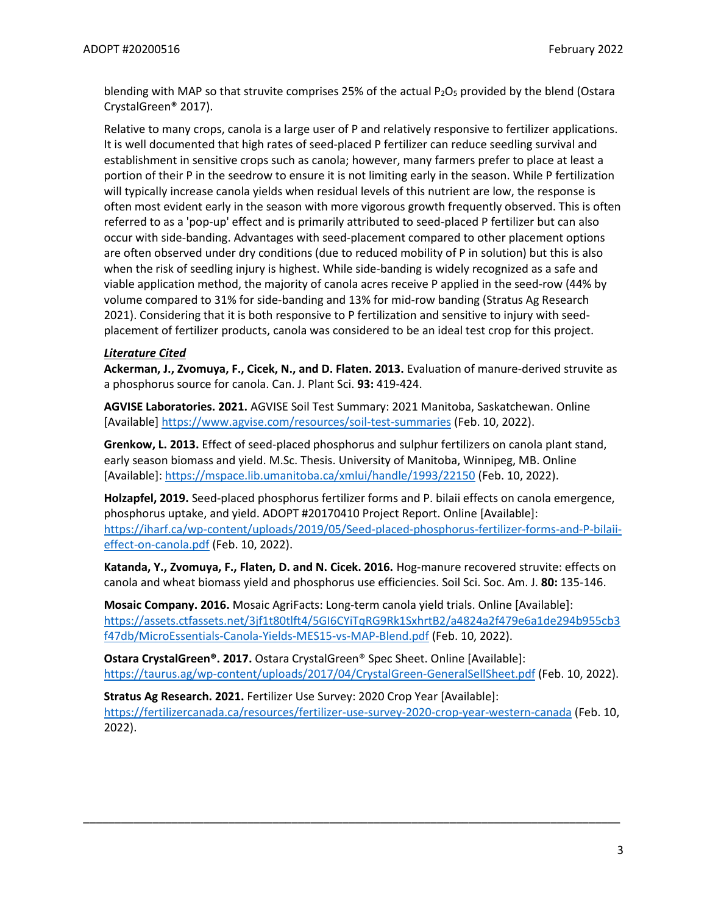blending with MAP so that struvite comprises 25% of the actual  $P_2O_5$  provided by the blend (Ostara CrystalGreen® 2017).

Relative to many crops, canola is a large user of P and relatively responsive to fertilizer applications. It is well documented that high rates of seed-placed P fertilizer can reduce seedling survival and establishment in sensitive crops such as canola; however, many farmers prefer to place at least a portion of their P in the seedrow to ensure it is not limiting early in the season. While P fertilization will typically increase canola yields when residual levels of this nutrient are low, the response is often most evident early in the season with more vigorous growth frequently observed. This is often referred to as a 'pop-up' effect and is primarily attributed to seed-placed P fertilizer but can also occur with side-banding. Advantages with seed-placement compared to other placement options are often observed under dry conditions (due to reduced mobility of P in solution) but this is also when the risk of seedling injury is highest. While side-banding is widely recognized as a safe and viable application method, the majority of canola acres receive P applied in the seed-row (44% by volume compared to 31% for side-banding and 13% for mid-row banding (Stratus Ag Research 2021). Considering that it is both responsive to P fertilization and sensitive to injury with seedplacement of fertilizer products, canola was considered to be an ideal test crop for this project.

# *Literature Cited*

**Ackerman, J., Zvomuya, F., Cicek, N., and D. Flaten. 2013.** Evaluation of manure-derived struvite as a phosphorus source for canola. Can. J. Plant Sci. **93:** 419-424.

**AGVISE Laboratories. 2021.** AGVISE Soil Test Summary: 2021 Manitoba, Saskatchewan. Online [Available]<https://www.agvise.com/resources/soil-test-summaries> (Feb. 10, 2022).

**Grenkow, L. 2013.** Effect of seed-placed phosphorus and sulphur fertilizers on canola plant stand, early season biomass and yield. M.Sc. Thesis. University of Manitoba, Winnipeg, MB. Online [Available]:<https://mspace.lib.umanitoba.ca/xmlui/handle/1993/22150> (Feb. 10, 2022).

**Holzapfel, 2019.** Seed-placed phosphorus fertilizer forms and P. bilaii effects on canola emergence, phosphorus uptake, and yield. ADOPT #20170410 Project Report. Online [Available]: [https://iharf.ca/wp-content/uploads/2019/05/Seed-placed-phosphorus-fertilizer-forms-and-P-bilaii](https://iharf.ca/wp-content/uploads/2019/05/Seed-placed-phosphorus-fertilizer-forms-and-P-bilaii-effect-on-canola.pdf)[effect-on-canola.pdf](https://iharf.ca/wp-content/uploads/2019/05/Seed-placed-phosphorus-fertilizer-forms-and-P-bilaii-effect-on-canola.pdf) (Feb. 10, 2022).

**Katanda, Y., Zvomuya, F., Flaten, D. and N. Cicek. 2016.** Hog-manure recovered struvite: effects on canola and wheat biomass yield and phosphorus use efficiencies. Soil Sci. Soc. Am. J. **80:** 135-146.

**Mosaic Company. 2016.** Mosaic AgriFacts: Long-term canola yield trials. Online [Available]: [https://assets.ctfassets.net/3jf1t80tlft4/5GI6CYiTqRG9Rk1SxhrtB2/a4824a2f479e6a1de294b955cb3](https://assets.ctfassets.net/3jf1t80tlft4/5GI6CYiTqRG9Rk1SxhrtB2/a4824a2f479e6a1de294b955cb3f47db/MicroEssentials-Canola-Yields-MES15-vs-MAP-Blend.pdf) [f47db/MicroEssentials-Canola-Yields-MES15-vs-MAP-Blend.pdf](https://assets.ctfassets.net/3jf1t80tlft4/5GI6CYiTqRG9Rk1SxhrtB2/a4824a2f479e6a1de294b955cb3f47db/MicroEssentials-Canola-Yields-MES15-vs-MAP-Blend.pdf) (Feb. 10, 2022).

**Ostara CrystalGreen®. 2017.** Ostara CrystalGreen® Spec Sheet. Online [Available]: <https://taurus.ag/wp-content/uploads/2017/04/CrystalGreen-GeneralSellSheet.pdf> (Feb. 10, 2022).

**Stratus Ag Research. 2021.** Fertilizer Use Survey: 2020 Crop Year [Available]: <https://fertilizercanada.ca/resources/fertilizer-use-survey-2020-crop-year-western-canada> (Feb. 10, 2022).

\_\_\_\_\_\_\_\_\_\_\_\_\_\_\_\_\_\_\_\_\_\_\_\_\_\_\_\_\_\_\_\_\_\_\_\_\_\_\_\_\_\_\_\_\_\_\_\_\_\_\_\_\_\_\_\_\_\_\_\_\_\_\_\_\_\_\_\_\_\_\_\_\_\_\_\_\_\_\_\_\_\_\_\_\_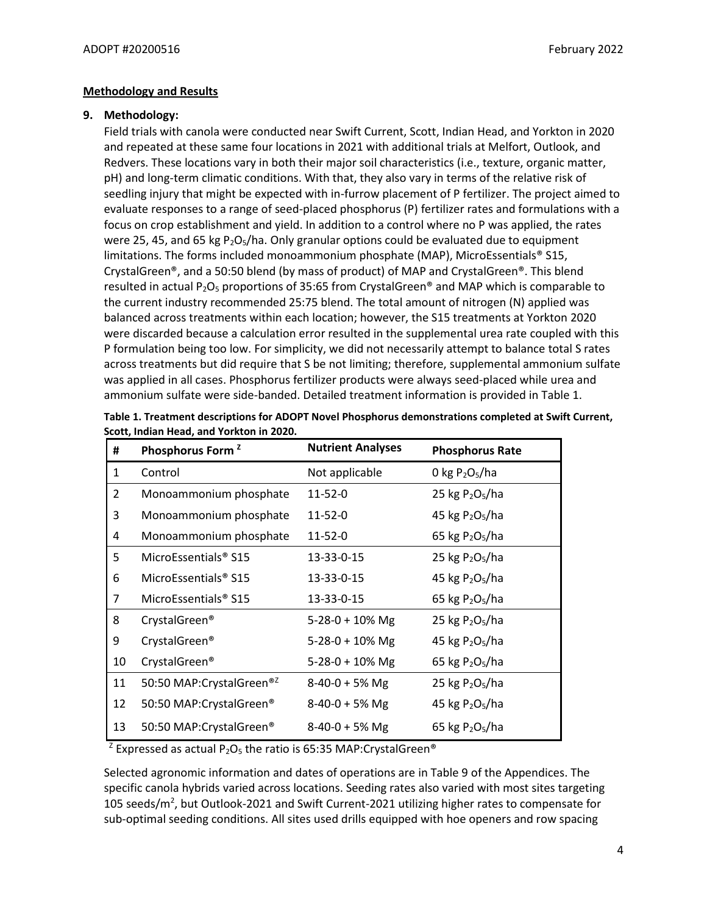## **Methodology and Results**

### **9. Methodology:**

Field trials with canola were conducted near Swift Current, Scott, Indian Head, and Yorkton in 2020 and repeated at these same four locations in 2021 with additional trials at Melfort, Outlook, and Redvers. These locations vary in both their major soil characteristics (i.e., texture, organic matter, pH) and long-term climatic conditions. With that, they also vary in terms of the relative risk of seedling injury that might be expected with in-furrow placement of P fertilizer. The project aimed to evaluate responses to a range of seed-placed phosphorus (P) fertilizer rates and formulations with a focus on crop establishment and yield. In addition to a control where no P was applied, the rates were 25, 45, and 65 kg  $P_2O_5/ha$ . Only granular options could be evaluated due to equipment limitations. The forms included monoammonium phosphate (MAP), MicroEssentials® S15, CrystalGreen®, and a 50:50 blend (by mass of product) of MAP and CrystalGreen®. This blend resulted in actual P<sub>2</sub>O<sub>5</sub> proportions of 35:65 from CrystalGreen<sup>®</sup> and MAP which is comparable to the current industry recommended 25:75 blend. The total amount of nitrogen (N) applied was balanced across treatments within each location; however, the S15 treatments at Yorkton 2020 were discarded because a calculation error resulted in the supplemental urea rate coupled with this P formulation being too low. For simplicity, we did not necessarily attempt to balance total S rates across treatments but did require that S be not limiting; therefore, supplemental ammonium sulfate was applied in all cases. Phosphorus fertilizer products were always seed-placed while urea and ammonium sulfate were side-banded. Detailed treatment information is provided in Table 1.

| #              | Phosphorus Form <sup>2</sup>         | <b>Nutrient Analyses</b> | <b>Phosphorus Rate</b>                  |
|----------------|--------------------------------------|--------------------------|-----------------------------------------|
| $\mathbf{1}$   | Control                              | Not applicable           | 0 kg $P_2O_5/ha$                        |
| $\overline{2}$ | Monoammonium phosphate               | 11-52-0                  | 25 kg $P_2O_5/ha$                       |
| 3              | Monoammonium phosphate               | 11-52-0                  | 45 kg $P_2O_5/ha$                       |
| 4              | Monoammonium phosphate               | 11-52-0                  | 65 kg $P_2O_5/ha$                       |
| 5              | MicroEssentials <sup>®</sup> S15     | 13-33-0-15               | 25 kg P <sub>2</sub> O <sub>5</sub> /ha |
| 6              | MicroEssentials <sup>®</sup> S15     | 13-33-0-15               | 45 kg $P_2O_5/ha$                       |
| 7              | MicroEssentials <sup>®</sup> S15     | 13-33-0-15               | 65 kg $P_2O_5/ha$                       |
| 8              | CrystalGreen <sup>®</sup>            | $5-28-0 + 10\%$ Mg       | 25 kg $P_2O_5/ha$                       |
| 9              | CrystalGreen <sup>®</sup>            | $5-28-0 + 10\%$ Mg       | 45 kg $P_2O_5/ha$                       |
| 10             | CrystalGreen <sup>®</sup>            | $5-28-0 + 10\%$ Mg       | 65 kg $P_2O_5/ha$                       |
| 11             | 50:50 MAP:CrystalGreen® <sup>2</sup> | $8-40-0 + 5%$ Mg         | 25 kg $P_2O_5/ha$                       |
| 12             | 50:50 MAP:CrystalGreen®              | $8-40-0 + 5%$ Mg         | 45 kg $P_2O_5/ha$                       |
| 13             | 50:50 MAP:CrystalGreen®              | $8-40-0 + 5%$ Mg         | 65 kg $P_2O_5/ha$                       |

**Table 1. Treatment descriptions for ADOPT Novel Phosphorus demonstrations completed at Swift Current, Scott, Indian Head, and Yorkton in 2020.**

<sup>Z</sup> Expressed as actual P<sub>2</sub>O<sub>5</sub> the ratio is 65:35 MAP:CrystalGreen<sup>®</sup>

Selected agronomic information and dates of operations are in Table 9 of the Appendices. The specific canola hybrids varied across locations. Seeding rates also varied with most sites targeting 105 seeds/m<sup>2</sup>, but Outlook-2021 and Swift Current-2021 utilizing higher rates to compensate for sub-optimal seeding conditions. All sites used drills equipped with hoe openers and row spacing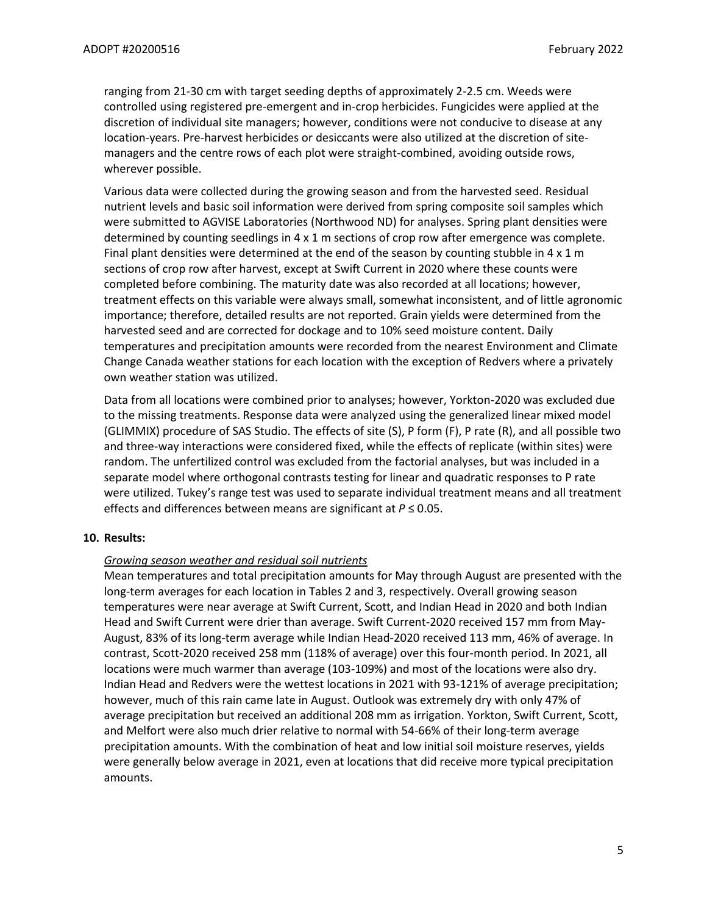ranging from 21-30 cm with target seeding depths of approximately 2-2.5 cm. Weeds were controlled using registered pre-emergent and in-crop herbicides. Fungicides were applied at the discretion of individual site managers; however, conditions were not conducive to disease at any location-years. Pre-harvest herbicides or desiccants were also utilized at the discretion of sitemanagers and the centre rows of each plot were straight-combined, avoiding outside rows, wherever possible.

Various data were collected during the growing season and from the harvested seed. Residual nutrient levels and basic soil information were derived from spring composite soil samples which were submitted to AGVISE Laboratories (Northwood ND) for analyses. Spring plant densities were determined by counting seedlings in 4 x 1 m sections of crop row after emergence was complete. Final plant densities were determined at the end of the season by counting stubble in  $4 \times 1$  m sections of crop row after harvest, except at Swift Current in 2020 where these counts were completed before combining. The maturity date was also recorded at all locations; however, treatment effects on this variable were always small, somewhat inconsistent, and of little agronomic importance; therefore, detailed results are not reported. Grain yields were determined from the harvested seed and are corrected for dockage and to 10% seed moisture content. Daily temperatures and precipitation amounts were recorded from the nearest Environment and Climate Change Canada weather stations for each location with the exception of Redvers where a privately own weather station was utilized.

Data from all locations were combined prior to analyses; however, Yorkton-2020 was excluded due to the missing treatments. Response data were analyzed using the generalized linear mixed model (GLIMMIX) procedure of SAS Studio. The effects of site (S), P form (F), P rate (R), and all possible two and three-way interactions were considered fixed, while the effects of replicate (within sites) were random. The unfertilized control was excluded from the factorial analyses, but was included in a separate model where orthogonal contrasts testing for linear and quadratic responses to P rate were utilized. Tukey's range test was used to separate individual treatment means and all treatment effects and differences between means are significant at *P* ≤ 0.05.

# **10. Results:**

#### *Growing season weather and residual soil nutrients*

Mean temperatures and total precipitation amounts for May through August are presented with the long-term averages for each location in Tables 2 and 3, respectively. Overall growing season temperatures were near average at Swift Current, Scott, and Indian Head in 2020 and both Indian Head and Swift Current were drier than average. Swift Current-2020 received 157 mm from May-August, 83% of its long-term average while Indian Head-2020 received 113 mm, 46% of average. In contrast, Scott-2020 received 258 mm (118% of average) over this four-month period. In 2021, all locations were much warmer than average (103-109%) and most of the locations were also dry. Indian Head and Redvers were the wettest locations in 2021 with 93-121% of average precipitation; however, much of this rain came late in August. Outlook was extremely dry with only 47% of average precipitation but received an additional 208 mm as irrigation. Yorkton, Swift Current, Scott, and Melfort were also much drier relative to normal with 54-66% of their long-term average precipitation amounts. With the combination of heat and low initial soil moisture reserves, yields were generally below average in 2021, even at locations that did receive more typical precipitation amounts.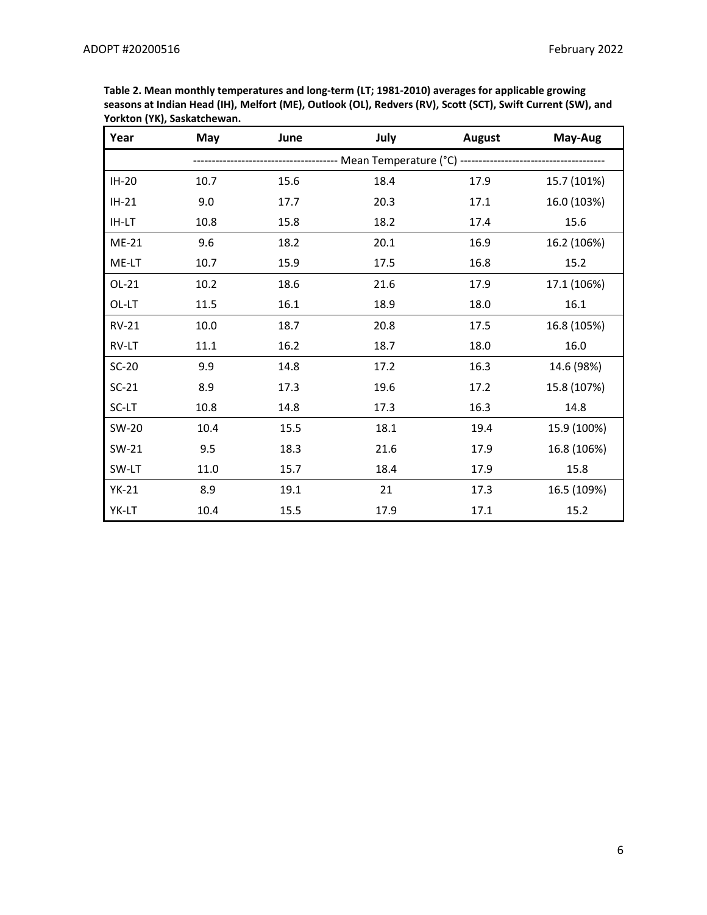| Year         | May  | June                                                              | July | <b>August</b> | May-Aug     |  |  |  |
|--------------|------|-------------------------------------------------------------------|------|---------------|-------------|--|--|--|
|              |      | --------------- Mean Temperature (°C) --------------------------- |      |               |             |  |  |  |
| $IH-20$      | 10.7 | 15.6                                                              | 18.4 | 17.9          | 15.7 (101%) |  |  |  |
| $IH-21$      | 9.0  | 17.7                                                              | 20.3 | 17.1          | 16.0 (103%) |  |  |  |
| IH-LT        | 10.8 | 15.8                                                              | 18.2 | 17.4          | 15.6        |  |  |  |
| $ME-21$      | 9.6  | 18.2                                                              | 20.1 | 16.9          | 16.2 (106%) |  |  |  |
| ME-LT        | 10.7 | 15.9                                                              | 17.5 | 16.8          | 15.2        |  |  |  |
| $OL-21$      | 10.2 | 18.6                                                              | 21.6 | 17.9          | 17.1 (106%) |  |  |  |
| OL-LT        | 11.5 | 16.1                                                              | 18.9 | 18.0          | 16.1        |  |  |  |
| <b>RV-21</b> | 10.0 | 18.7                                                              | 20.8 | 17.5          | 16.8 (105%) |  |  |  |
| RV-LT        | 11.1 | 16.2                                                              | 18.7 | 18.0          | 16.0        |  |  |  |
| $SC-20$      | 9.9  | 14.8                                                              | 17.2 | 16.3          | 14.6 (98%)  |  |  |  |
| $SC-21$      | 8.9  | 17.3                                                              | 19.6 | 17.2          | 15.8 (107%) |  |  |  |
| SC-LT        | 10.8 | 14.8                                                              | 17.3 | 16.3          | 14.8        |  |  |  |
| SW-20        | 10.4 | 15.5                                                              | 18.1 | 19.4          | 15.9 (100%) |  |  |  |
| SW-21        | 9.5  | 18.3                                                              | 21.6 | 17.9          | 16.8 (106%) |  |  |  |
| SW-LT        | 11.0 | 15.7                                                              | 18.4 | 17.9          | 15.8        |  |  |  |
| $YK-21$      | 8.9  | 19.1                                                              | 21   | 17.3          | 16.5 (109%) |  |  |  |
| YK-LT        | 10.4 | 15.5                                                              | 17.9 | 17.1          | 15.2        |  |  |  |

**Table 2. Mean monthly temperatures and long-term (LT; 1981-2010) averages for applicable growing seasons at Indian Head (IH), Melfort (ME), Outlook (OL), Redvers (RV), Scott (SCT), Swift Current (SW), and Yorkton (YK), Saskatchewan.**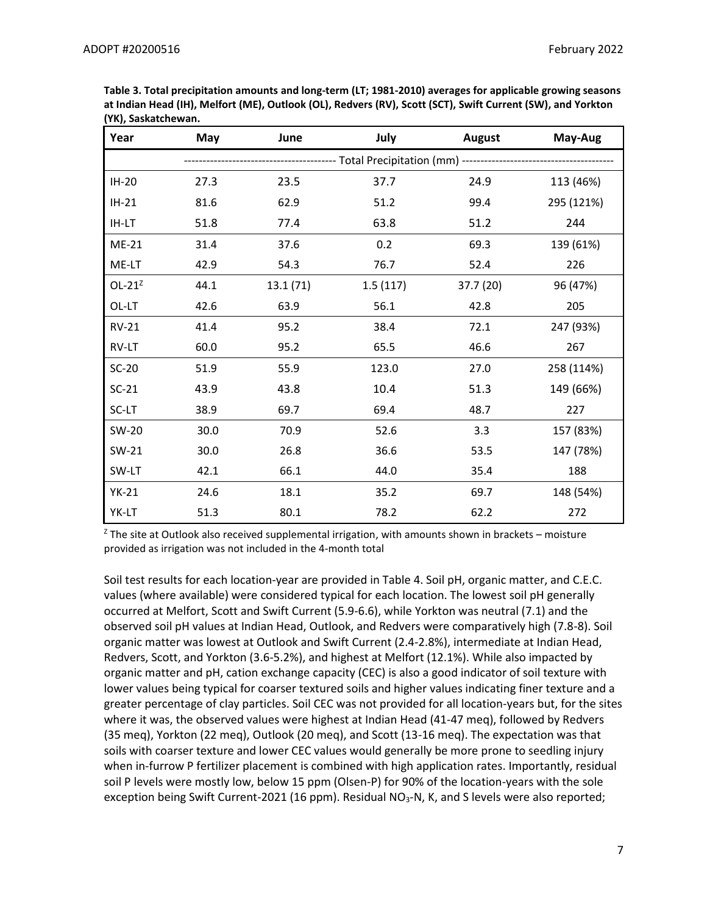| Year         | May  | June                                                             | July     | <b>August</b> | May-Aug    |  |  |  |
|--------------|------|------------------------------------------------------------------|----------|---------------|------------|--|--|--|
|              |      | --------------- Total Precipitation (mm) ----------------------- |          |               |            |  |  |  |
| IH-20        | 27.3 | 23.5                                                             | 37.7     | 24.9          | 113 (46%)  |  |  |  |
| $IH-21$      | 81.6 | 62.9                                                             | 51.2     | 99.4          | 295 (121%) |  |  |  |
| IH-LT        | 51.8 | 77.4                                                             | 63.8     | 51.2          | 244        |  |  |  |
| ME-21        | 31.4 | 37.6                                                             | 0.2      | 69.3          | 139 (61%)  |  |  |  |
| ME-LT        | 42.9 | 54.3                                                             | 76.7     | 52.4          | 226        |  |  |  |
| $OL-21Z$     | 44.1 | 13.1(71)                                                         | 1.5(117) | 37.7 (20)     | 96 (47%)   |  |  |  |
| OL-LT        | 42.6 | 63.9                                                             | 56.1     | 42.8          | 205        |  |  |  |
| <b>RV-21</b> | 41.4 | 95.2                                                             | 38.4     | 72.1          | 247 (93%)  |  |  |  |
| RV-LT        | 60.0 | 95.2                                                             | 65.5     | 46.6          | 267        |  |  |  |
| $SC-20$      | 51.9 | 55.9                                                             | 123.0    | 27.0          | 258 (114%) |  |  |  |
| $SC-21$      | 43.9 | 43.8                                                             | 10.4     | 51.3          | 149 (66%)  |  |  |  |
| SC-LT        | 38.9 | 69.7                                                             | 69.4     | 48.7          | 227        |  |  |  |
| SW-20        | 30.0 | 70.9                                                             | 52.6     | 3.3           | 157 (83%)  |  |  |  |
| SW-21        | 30.0 | 26.8                                                             | 36.6     | 53.5          | 147 (78%)  |  |  |  |
| SW-LT        | 42.1 | 66.1                                                             | 44.0     | 35.4          | 188        |  |  |  |
| $YK-21$      | 24.6 | 18.1                                                             | 35.2     | 69.7          | 148 (54%)  |  |  |  |
| YK-LT        | 51.3 | 80.1                                                             | 78.2     | 62.2          | 272        |  |  |  |

**Table 3. Total precipitation amounts and long-term (LT; 1981-2010) averages for applicable growing seasons at Indian Head (IH), Melfort (ME), Outlook (OL), Redvers (RV), Scott (SCT), Swift Current (SW), and Yorkton (YK), Saskatchewan.** 

 $Z$  The site at Outlook also received supplemental irrigation, with amounts shown in brackets – moisture provided as irrigation was not included in the 4-month total

Soil test results for each location-year are provided in Table 4. Soil pH, organic matter, and C.E.C. values (where available) were considered typical for each location. The lowest soil pH generally occurred at Melfort, Scott and Swift Current (5.9-6.6), while Yorkton was neutral (7.1) and the observed soil pH values at Indian Head, Outlook, and Redvers were comparatively high (7.8-8). Soil organic matter was lowest at Outlook and Swift Current (2.4-2.8%), intermediate at Indian Head, Redvers, Scott, and Yorkton (3.6-5.2%), and highest at Melfort (12.1%). While also impacted by organic matter and pH, cation exchange capacity (CEC) is also a good indicator of soil texture with lower values being typical for coarser textured soils and higher values indicating finer texture and a greater percentage of clay particles. Soil CEC was not provided for all location-years but, for the sites where it was, the observed values were highest at Indian Head (41-47 meq), followed by Redvers (35 meq), Yorkton (22 meq), Outlook (20 meq), and Scott (13-16 meq). The expectation was that soils with coarser texture and lower CEC values would generally be more prone to seedling injury when in-furrow P fertilizer placement is combined with high application rates. Importantly, residual soil P levels were mostly low, below 15 ppm (Olsen-P) for 90% of the location-years with the sole exception being Swift Current-2021 (16 ppm). Residual NO<sub>3</sub>-N, K, and S levels were also reported;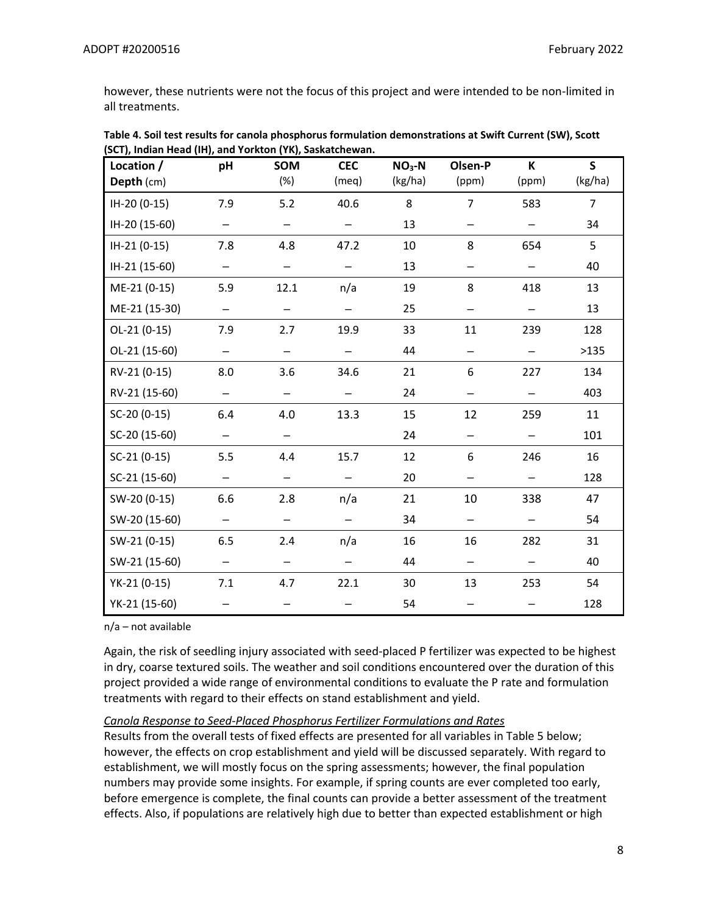however, these nutrients were not the focus of this project and were intended to be non-limited in all treatments.

| Location /<br>Depth (cm) | pH                       | SOM<br>(%)               | <b>CEC</b><br>(meq)      | $NO3-N$<br>(kg/ha) | Olsen-P<br>(ppm)         | K<br>(ppm)               | $\mathsf{s}$<br>(kg/ha) |
|--------------------------|--------------------------|--------------------------|--------------------------|--------------------|--------------------------|--------------------------|-------------------------|
| IH-20 (0-15)             | 7.9                      | 5.2                      | 40.6                     | 8                  | $\overline{7}$           | 583                      | 7                       |
| IH-20 (15-60)            |                          | $\qquad \qquad -$        |                          | 13                 |                          | $\qquad \qquad -$        | 34                      |
| IH-21 (0-15)             | 7.8                      | 4.8                      | 47.2                     | 10                 | 8                        | 654                      | 5                       |
| IH-21 (15-60)            | $\overline{\phantom{0}}$ | $\qquad \qquad -$        |                          | 13                 |                          |                          | 40                      |
| ME-21 (0-15)             | 5.9                      | 12.1                     | n/a                      | 19                 | 8                        | 418                      | 13                      |
| ME-21 (15-30)            | $\qquad \qquad -$        | $\overline{\phantom{0}}$ | $\overline{\phantom{0}}$ | 25                 | $\qquad \qquad -$        | $\qquad \qquad -$        | 13                      |
| $OL-21(0-15)$            | 7.9                      | 2.7                      | 19.9                     | 33                 | 11                       | 239                      | 128                     |
| OL-21 (15-60)            | $\overline{\phantom{0}}$ | $\overline{\phantom{0}}$ |                          | 44                 | $\overline{\phantom{0}}$ | $\overline{\phantom{0}}$ | >135                    |
| RV-21 (0-15)             | 8.0                      | 3.6                      | 34.6                     | 21                 | 6                        | 227                      | 134                     |
| RV-21 (15-60)            | $\qquad \qquad -$        | $\qquad \qquad -$        |                          | 24                 | $\qquad \qquad -$        | $\overline{\phantom{0}}$ | 403                     |
| SC-20 (0-15)             | 6.4                      | 4.0                      | 13.3                     | 15                 | 12                       | 259                      | 11                      |
| SC-20 (15-60)            | $\overline{\phantom{0}}$ | $\overline{\phantom{0}}$ |                          | 24                 | $\qquad \qquad -$        | $\qquad \qquad -$        | 101                     |
| $SC-21(0-15)$            | 5.5                      | 4.4                      | 15.7                     | 12                 | 6                        | 246                      | 16                      |
| SC-21 (15-60)            | $\overline{\phantom{0}}$ | -                        |                          | 20                 |                          |                          | 128                     |
| SW-20 (0-15)             | 6.6                      | 2.8                      | n/a                      | 21                 | 10                       | 338                      | 47                      |
| SW-20 (15-60)            | $\overline{\phantom{0}}$ | $\qquad \qquad -$        |                          | 34                 | $\qquad \qquad -$        | $\qquad \qquad -$        | 54                      |
| SW-21 (0-15)             | 6.5                      | 2.4                      | n/a                      | 16                 | 16                       | 282                      | 31                      |
| SW-21 (15-60)            | $\qquad \qquad -$        | -                        | —                        | 44                 | $\qquad \qquad -$        | $\qquad \qquad -$        | 40                      |
| YK-21 (0-15)             | 7.1                      | 4.7                      | 22.1                     | 30                 | 13                       | 253                      | 54                      |
| YK-21 (15-60)            |                          |                          |                          | 54                 |                          |                          | 128                     |

**Table 4. Soil test results for canola phosphorus formulation demonstrations at Swift Current (SW), Scott (SCT), Indian Head (IH), and Yorkton (YK), Saskatchewan.**

n/a – not available

Again, the risk of seedling injury associated with seed-placed P fertilizer was expected to be highest in dry, coarse textured soils. The weather and soil conditions encountered over the duration of this project provided a wide range of environmental conditions to evaluate the P rate and formulation treatments with regard to their effects on stand establishment and yield.

# *Canola Response to Seed-Placed Phosphorus Fertilizer Formulations and Rates*

Results from the overall tests of fixed effects are presented for all variables in Table 5 below; however, the effects on crop establishment and yield will be discussed separately. With regard to establishment, we will mostly focus on the spring assessments; however, the final population numbers may provide some insights. For example, if spring counts are ever completed too early, before emergence is complete, the final counts can provide a better assessment of the treatment effects. Also, if populations are relatively high due to better than expected establishment or high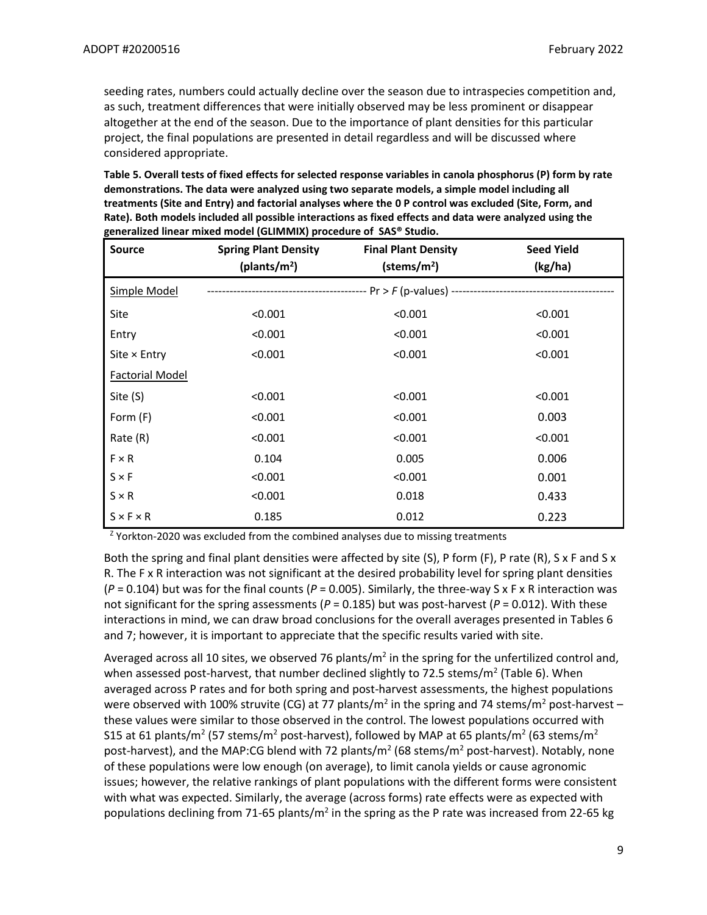seeding rates, numbers could actually decline over the season due to intraspecies competition and, as such, treatment differences that were initially observed may be less prominent or disappear altogether at the end of the season. Due to the importance of plant densities for this particular project, the final populations are presented in detail regardless and will be discussed where considered appropriate.

**Table 5. Overall tests of fixed effects for selected response variables in canola phosphorus (P) form by rate demonstrations. The data were analyzed using two separate models, a simple model including all treatments (Site and Entry) and factorial analyses where the 0 P control was excluded (Site, Form, and Rate). Both models included all possible interactions as fixed effects and data were analyzed using the generalized linear mixed model (GLIMMIX) procedure of SAS® Studio.** 

| <b>Source</b>          | <b>Spring Plant Density</b><br>(plants/ $m2$ ) | <b>Final Plant Density</b><br>$(\text{stems/m}^2)$                                           | <b>Seed Yield</b><br>(kg/ha) |
|------------------------|------------------------------------------------|----------------------------------------------------------------------------------------------|------------------------------|
| Simple Model           |                                                | ------------------------------------- Pr > <i>F</i> (p-values) ----------------------------- |                              |
| Site                   | < 0.001                                        | < 0.001                                                                                      | < 0.001                      |
| Entry                  | < 0.001                                        | < 0.001                                                                                      | < 0.001                      |
| Site $\times$ Entry    | < 0.001                                        | < 0.001                                                                                      | < 0.001                      |
| <b>Factorial Model</b> |                                                |                                                                                              |                              |
| Site (S)               | < 0.001                                        | < 0.001                                                                                      | < 0.001                      |
| Form (F)               | < 0.001                                        | < 0.001                                                                                      | 0.003                        |
| Rate (R)               | < 0.001                                        | < 0.001                                                                                      | < 0.001                      |
| $F \times R$           | 0.104                                          | 0.005                                                                                        | 0.006                        |
| $S \times F$           | < 0.001                                        | < 0.001                                                                                      | 0.001                        |
| $S \times R$           | < 0.001                                        | 0.018                                                                                        | 0.433                        |
| $S \times F \times R$  | 0.185                                          | 0.012                                                                                        | 0.223                        |

 $Z$  Yorkton-2020 was excluded from the combined analyses due to missing treatments

Both the spring and final plant densities were affected by site  $(S)$ , P form  $(F)$ , P rate  $(R)$ , S x F and S x R. The F x R interaction was not significant at the desired probability level for spring plant densities  $(P = 0.104)$  but was for the final counts  $(P = 0.005)$ . Similarly, the three-way S x F x R interaction was not significant for the spring assessments ( $P = 0.185$ ) but was post-harvest ( $P = 0.012$ ). With these interactions in mind, we can draw broad conclusions for the overall averages presented in Tables 6 and 7; however, it is important to appreciate that the specific results varied with site.

Averaged across all 10 sites, we observed 76 plants/ $m^2$  in the spring for the unfertilized control and, when assessed post-harvest, that number declined slightly to 72.5 stems/m<sup>2</sup> (Table 6). When averaged across P rates and for both spring and post-harvest assessments, the highest populations were observed with 100% struvite (CG) at 77 plants/m<sup>2</sup> in the spring and 74 stems/m<sup>2</sup> post-harvest – these values were similar to those observed in the control. The lowest populations occurred with S15 at 61 plants/m<sup>2</sup> (57 stems/m<sup>2</sup> post-harvest), followed by MAP at 65 plants/m<sup>2</sup> (63 stems/m<sup>2</sup> post-harvest), and the MAP:CG blend with 72 plants/m<sup>2</sup> (68 stems/m<sup>2</sup> post-harvest). Notably, none of these populations were low enough (on average), to limit canola yields or cause agronomic issues; however, the relative rankings of plant populations with the different forms were consistent with what was expected. Similarly, the average (across forms) rate effects were as expected with populations declining from 71-65 plants/m<sup>2</sup> in the spring as the P rate was increased from 22-65 kg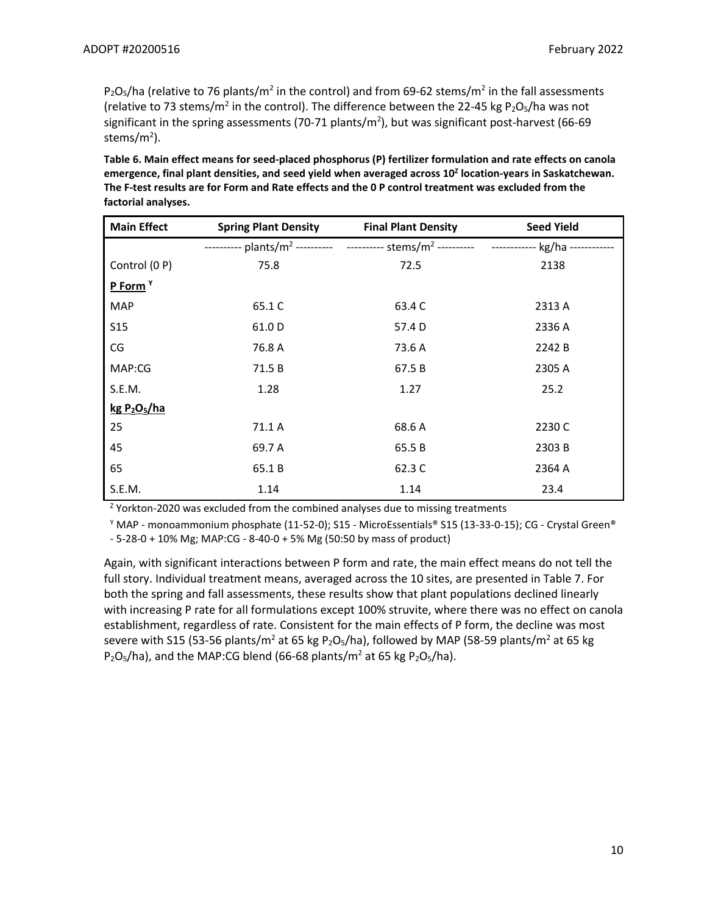P<sub>2</sub>O<sub>5</sub>/ha (relative to 76 plants/m<sup>2</sup> in the control) and from 69-62 stems/m<sup>2</sup> in the fall assessments (relative to 73 stems/m<sup>2</sup> in the control). The difference between the 22-45 kg P<sub>2</sub>O<sub>5</sub>/ha was not significant in the spring assessments (70-71 plants/m<sup>2</sup>), but was significant post-harvest (66-69 stems/m<sup>2</sup>).

**Table 6. Main effect means for seed-placed phosphorus (P) fertilizer formulation and rate effects on canola emergence, final plant densities, and seed yield when averaged across 10<sup>Z</sup> location-years in Saskatchewan. The F-test results are for Form and Rate effects and the 0 P control treatment was excluded from the factorial analyses.**

| <b>Main Effect</b>                   | <b>Spring Plant Density</b> | <b>Final Plant Density</b> | <b>Seed Yield</b> |
|--------------------------------------|-----------------------------|----------------------------|-------------------|
|                                      |                             |                            |                   |
| Control (0 P)                        | 75.8                        | 72.5                       | 2138              |
| P Form <sup>Y</sup>                  |                             |                            |                   |
| <b>MAP</b>                           | 65.1 C                      | 63.4 C                     | 2313 A            |
| <b>S15</b>                           | 61.0 D                      | 57.4 D                     | 2336 A            |
| CG                                   | 76.8 A                      | 73.6 A                     | 2242 B            |
| MAP:CG                               | 71.5 B                      | 67.5 B                     | 2305 A            |
| S.E.M.                               | 1.28                        | 1.27                       | 25.2              |
| kg P <sub>2</sub> O <sub>5</sub> /ha |                             |                            |                   |
| 25                                   | 71.1 A                      | 68.6 A                     | 2230 C            |
| 45                                   | 69.7 A                      | 65.5 B                     | 2303B             |
| 65                                   | 65.1 B                      | 62.3 C                     | 2364 A            |
| S.E.M.                               | 1.14                        | 1.14                       | 23.4              |

<sup>Z</sup> Yorkton-2020 was excluded from the combined analyses due to missing treatments

 $\gamma$  MAP - monoammonium phosphate (11-52-0); S15 - MicroEssentials® S15 (13-33-0-15); CG - Crystal Green® - 5-28-0 + 10% Mg; MAP:CG - 8-40-0 + 5% Mg (50:50 by mass of product)

Again, with significant interactions between P form and rate, the main effect means do not tell the full story. Individual treatment means, averaged across the 10 sites, are presented in Table 7. For both the spring and fall assessments, these results show that plant populations declined linearly with increasing P rate for all formulations except 100% struvite, where there was no effect on canola establishment, regardless of rate. Consistent for the main effects of P form, the decline was most severe with S15 (53-56 plants/m<sup>2</sup> at 65 kg P<sub>2</sub>O<sub>5</sub>/ha), followed by MAP (58-59 plants/m<sup>2</sup> at 65 kg  $P_2O_5/ha$ ), and the MAP:CG blend (66-68 plants/m<sup>2</sup> at 65 kg P<sub>2</sub>O<sub>5</sub>/ha).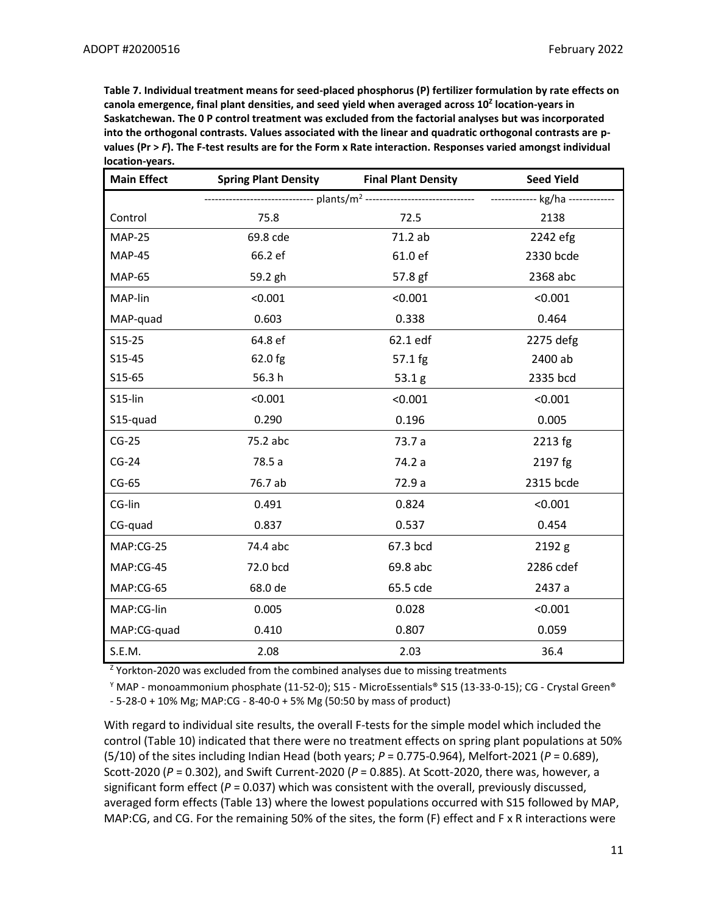**Table 7. Individual treatment means for seed-placed phosphorus (P) fertilizer formulation by rate effects on canola emergence, final plant densities, and seed yield when averaged across 10<sup>Z</sup> location-years in Saskatchewan. The 0 P control treatment was excluded from the factorial analyses but was incorporated into the orthogonal contrasts. Values associated with the linear and quadratic orthogonal contrasts are pvalues (Pr >** *F***). The F-test results are for the Form x Rate interaction. Responses varied amongst individual location-years.**

| <b>Main Effect</b> | <b>Spring Plant Density</b><br><b>Final Plant Density</b> |          | <b>Seed Yield</b> |
|--------------------|-----------------------------------------------------------|----------|-------------------|
|                    |                                                           |          |                   |
| Control            | 75.8                                                      | 72.5     | 2138              |
| <b>MAP-25</b>      | 69.8 cde                                                  | 71.2 ab  | 2242 efg          |
| <b>MAP-45</b>      | 66.2 ef                                                   | 61.0 ef  | 2330 bcde         |
| <b>MAP-65</b>      | 59.2 gh                                                   | 57.8 gf  | 2368 abc          |
| MAP-lin            | < 0.001                                                   | < 0.001  | < 0.001           |
| MAP-quad           | 0.603                                                     | 0.338    | 0.464             |
| $S15-25$           | 64.8 ef                                                   | 62.1 edf | 2275 defg         |
| S15-45             | 62.0 fg                                                   | 57.1 fg  | 2400 ab           |
| $S15-65$           | 56.3h                                                     | 53.1g    | 2335 bcd          |
| S15-lin            | < 0.001                                                   | < 0.001  | < 0.001           |
| S15-quad           | 0.290                                                     | 0.196    | 0.005             |
| $CG-25$            | 75.2 abc                                                  | 73.7 a   | 2213 fg           |
| $CG-24$            | 78.5 a                                                    | 74.2 a   | 2197 fg           |
| $CG-65$            | 76.7 ab                                                   | 72.9 a   | 2315 bcde         |
| CG-lin             | 0.491                                                     | 0.824    | < 0.001           |
| CG-quad            | 0.837                                                     | 0.537    | 0.454             |
| MAP:CG-25          | 74.4 abc                                                  | 67.3 bcd | 2192 g            |
| MAP:CG-45          | 72.0 bcd                                                  | 69.8 abc | 2286 cdef         |
| MAP:CG-65          | 68.0 de                                                   | 65.5 cde | 2437 a            |
| MAP:CG-lin         | 0.005                                                     | 0.028    | < 0.001           |
| MAP:CG-quad        | 0.410                                                     | 0.807    | 0.059             |
| S.E.M.             | 2.08                                                      | 2.03     | 36.4              |

 $Z$  Yorkton-2020 was excluded from the combined analyses due to missing treatments

 $\gamma$  MAP - monoammonium phosphate (11-52-0); S15 - MicroEssentials® S15 (13-33-0-15); CG - Crystal Green® - 5-28-0 + 10% Mg; MAP:CG - 8-40-0 + 5% Mg (50:50 by mass of product)

With regard to individual site results, the overall F-tests for the simple model which included the control (Table 10) indicated that there were no treatment effects on spring plant populations at 50% (5/10) of the sites including Indian Head (both years; *P* = 0.775-0.964), Melfort-2021 (*P* = 0.689), Scott-2020 (*P* = 0.302), and Swift Current-2020 (*P* = 0.885). At Scott-2020, there was, however, a significant form effect (*P* = 0.037) which was consistent with the overall, previously discussed, averaged form effects (Table 13) where the lowest populations occurred with S15 followed by MAP, MAP:CG, and CG. For the remaining 50% of the sites, the form (F) effect and F x R interactions were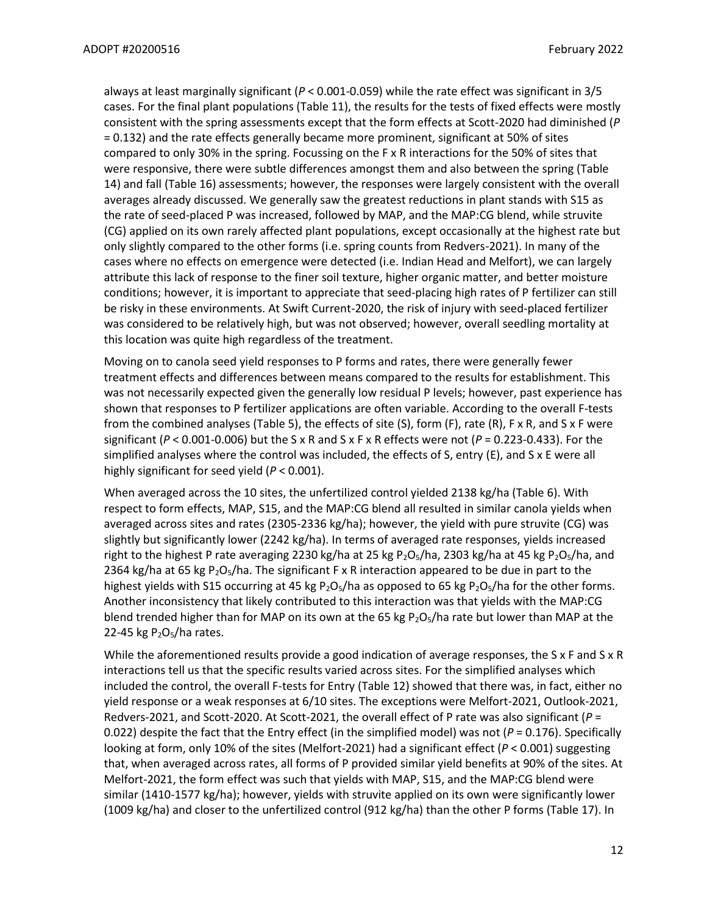always at least marginally significant (*P* < 0.001-0.059) while the rate effect was significant in 3/5 cases. For the final plant populations (Table 11), the results for the tests of fixed effects were mostly consistent with the spring assessments except that the form effects at Scott-2020 had diminished (*P* = 0.132) and the rate effects generally became more prominent, significant at 50% of sites compared to only 30% in the spring. Focussing on the F x R interactions for the 50% of sites that were responsive, there were subtle differences amongst them and also between the spring (Table 14) and fall (Table 16) assessments; however, the responses were largely consistent with the overall averages already discussed. We generally saw the greatest reductions in plant stands with S15 as the rate of seed-placed P was increased, followed by MAP, and the MAP:CG blend, while struvite (CG) applied on its own rarely affected plant populations, except occasionally at the highest rate but only slightly compared to the other forms (i.e. spring counts from Redvers-2021). In many of the cases where no effects on emergence were detected (i.e. Indian Head and Melfort), we can largely attribute this lack of response to the finer soil texture, higher organic matter, and better moisture conditions; however, it is important to appreciate that seed-placing high rates of P fertilizer can still be risky in these environments. At Swift Current-2020, the risk of injury with seed-placed fertilizer was considered to be relatively high, but was not observed; however, overall seedling mortality at this location was quite high regardless of the treatment.

Moving on to canola seed yield responses to P forms and rates, there were generally fewer treatment effects and differences between means compared to the results for establishment. This was not necessarily expected given the generally low residual P levels; however, past experience has shown that responses to P fertilizer applications are often variable. According to the overall F-tests from the combined analyses (Table 5), the effects of site (S), form (F), rate (R), F x R, and S x F were significant ( $P < 0.001$ -0.006) but the S x R and S x F x R effects were not ( $P = 0.223$ -0.433). For the simplified analyses where the control was included, the effects of S, entry (E), and S x E were all highly significant for seed yield (*P* < 0.001).

When averaged across the 10 sites, the unfertilized control yielded 2138 kg/ha (Table 6). With respect to form effects, MAP, S15, and the MAP:CG blend all resulted in similar canola yields when averaged across sites and rates (2305-2336 kg/ha); however, the yield with pure struvite (CG) was slightly but significantly lower (2242 kg/ha). In terms of averaged rate responses, yields increased right to the highest P rate averaging 2230 kg/ha at 25 kg P<sub>2</sub>O<sub>5</sub>/ha, 2303 kg/ha at 45 kg P<sub>2</sub>O<sub>5</sub>/ha, and 2364 kg/ha at 65 kg  $P_2O_5/ha$ . The significant F x R interaction appeared to be due in part to the highest yields with S15 occurring at 45 kg P<sub>2</sub>O<sub>5</sub>/ha as opposed to 65 kg P<sub>2</sub>O<sub>5</sub>/ha for the other forms. Another inconsistency that likely contributed to this interaction was that yields with the MAP:CG blend trended higher than for MAP on its own at the 65 kg  $P_2O_5/h$  rate but lower than MAP at the 22-45 kg  $P<sub>2</sub>O<sub>5</sub>/h$ a rates.

While the aforementioned results provide a good indication of average responses, the S x F and S x R interactions tell us that the specific results varied across sites. For the simplified analyses which included the control, the overall F-tests for Entry (Table 12) showed that there was, in fact, either no yield response or a weak responses at 6/10 sites. The exceptions were Melfort-2021, Outlook-2021, Redvers-2021, and Scott-2020. At Scott-2021, the overall effect of P rate was also significant (*P* = 0.022) despite the fact that the Entry effect (in the simplified model) was not ( $P = 0.176$ ). Specifically looking at form, only 10% of the sites (Melfort-2021) had a significant effect (*P* < 0.001) suggesting that, when averaged across rates, all forms of P provided similar yield benefits at 90% of the sites. At Melfort-2021, the form effect was such that yields with MAP, S15, and the MAP:CG blend were similar (1410-1577 kg/ha); however, yields with struvite applied on its own were significantly lower (1009 kg/ha) and closer to the unfertilized control (912 kg/ha) than the other P forms (Table 17). In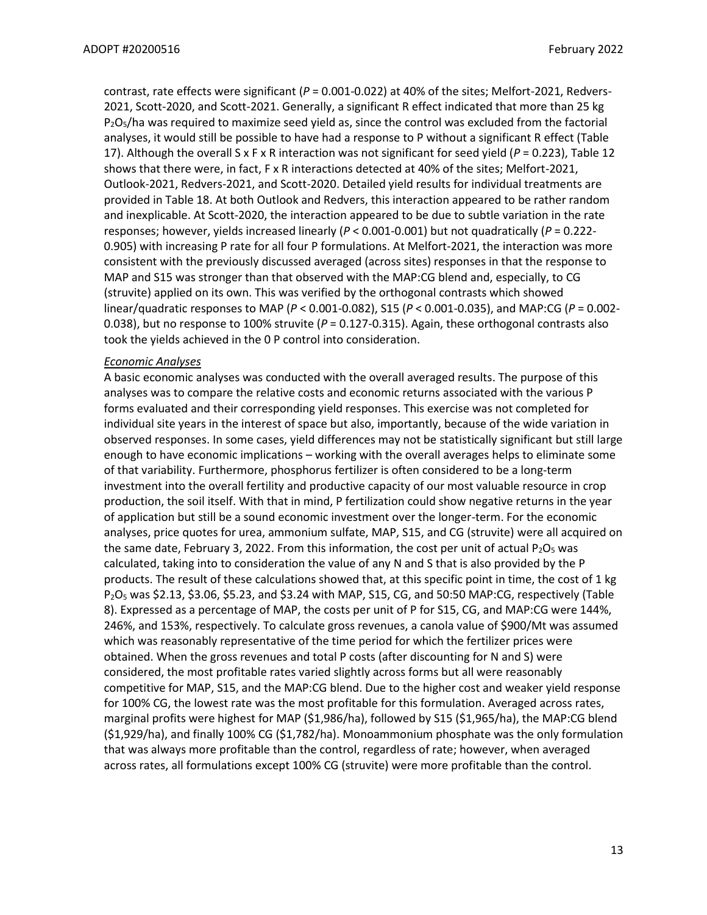contrast, rate effects were significant (*P* = 0.001-0.022) at 40% of the sites; Melfort-2021, Redvers-2021, Scott-2020, and Scott-2021. Generally, a significant R effect indicated that more than 25 kg  $P_2O_5/h$ a was required to maximize seed yield as, since the control was excluded from the factorial analyses, it would still be possible to have had a response to P without a significant R effect (Table 17). Although the overall S x F x R interaction was not significant for seed yield (*P* = 0.223), Table 12 shows that there were, in fact, F x R interactions detected at 40% of the sites; Melfort-2021, Outlook-2021, Redvers-2021, and Scott-2020. Detailed yield results for individual treatments are provided in Table 18. At both Outlook and Redvers, this interaction appeared to be rather random and inexplicable. At Scott-2020, the interaction appeared to be due to subtle variation in the rate responses; however, yields increased linearly (*P* < 0.001-0.001) but not quadratically (*P* = 0.222- 0.905) with increasing P rate for all four P formulations. At Melfort-2021, the interaction was more consistent with the previously discussed averaged (across sites) responses in that the response to MAP and S15 was stronger than that observed with the MAP:CG blend and, especially, to CG (struvite) applied on its own. This was verified by the orthogonal contrasts which showed linear/quadratic responses to MAP (*P* < 0.001-0.082), S15 (*P* < 0.001-0.035), and MAP:CG (*P* = 0.002- 0.038), but no response to 100% struvite (*P* = 0.127-0.315). Again, these orthogonal contrasts also took the yields achieved in the 0 P control into consideration.

# *Economic Analyses*

A basic economic analyses was conducted with the overall averaged results. The purpose of this analyses was to compare the relative costs and economic returns associated with the various P forms evaluated and their corresponding yield responses. This exercise was not completed for individual site years in the interest of space but also, importantly, because of the wide variation in observed responses. In some cases, yield differences may not be statistically significant but still large enough to have economic implications – working with the overall averages helps to eliminate some of that variability. Furthermore, phosphorus fertilizer is often considered to be a long-term investment into the overall fertility and productive capacity of our most valuable resource in crop production, the soil itself. With that in mind, P fertilization could show negative returns in the year of application but still be a sound economic investment over the longer-term. For the economic analyses, price quotes for urea, ammonium sulfate, MAP, S15, and CG (struvite) were all acquired on the same date, February 3, 2022. From this information, the cost per unit of actual  $P_2O_5$  was calculated, taking into to consideration the value of any N and S that is also provided by the P products. The result of these calculations showed that, at this specific point in time, the cost of 1 kg  $P_2O_5$  was \$2.13, \$3.06, \$5.23, and \$3.24 with MAP, S15, CG, and 50:50 MAP:CG, respectively (Table 8). Expressed as a percentage of MAP, the costs per unit of P for S15, CG, and MAP:CG were 144%, 246%, and 153%, respectively. To calculate gross revenues, a canola value of \$900/Mt was assumed which was reasonably representative of the time period for which the fertilizer prices were obtained. When the gross revenues and total P costs (after discounting for N and S) were considered, the most profitable rates varied slightly across forms but all were reasonably competitive for MAP, S15, and the MAP:CG blend. Due to the higher cost and weaker yield response for 100% CG, the lowest rate was the most profitable for this formulation. Averaged across rates, marginal profits were highest for MAP (\$1,986/ha), followed by S15 (\$1,965/ha), the MAP:CG blend (\$1,929/ha), and finally 100% CG (\$1,782/ha). Monoammonium phosphate was the only formulation that was always more profitable than the control, regardless of rate; however, when averaged across rates, all formulations except 100% CG (struvite) were more profitable than the control.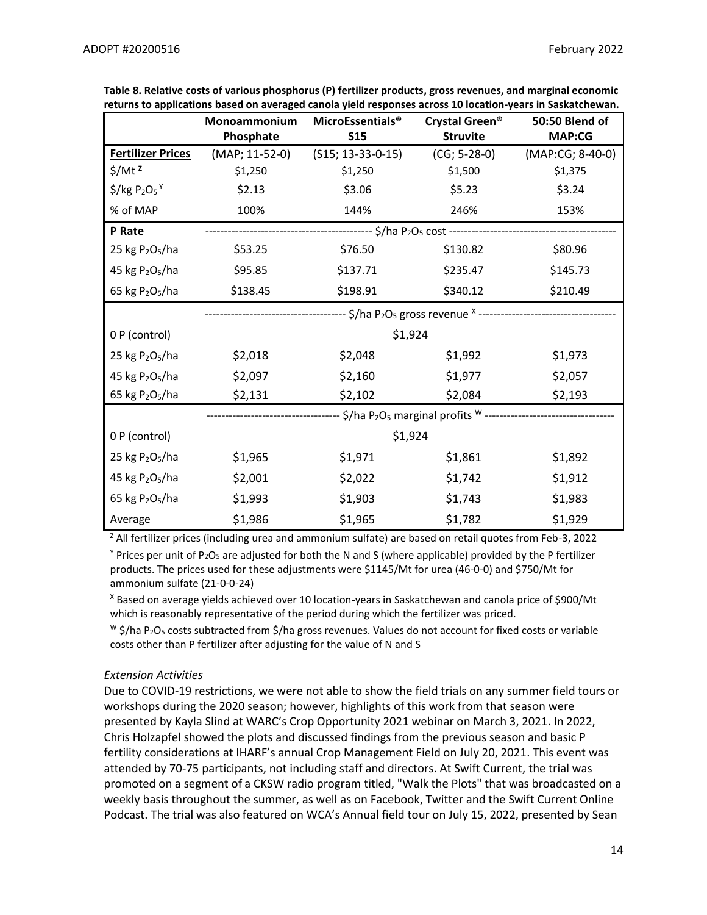|                                         | Monoammonium   | <b>MicroEssentials®</b> | Crystal Green <sup>®</sup>                                                                      | 50:50 Blend of   |
|-----------------------------------------|----------------|-------------------------|-------------------------------------------------------------------------------------------------|------------------|
|                                         | Phosphate      | <b>S15</b>              | <b>Struvite</b>                                                                                 | <b>MAP:CG</b>    |
| <b>Fertilizer Prices</b>                | (MAP; 11-52-0) | $(S15; 13-33-0-15)$     | $(CG; 5-28-0)$                                                                                  | (MAP:CG; 8-40-0) |
| $$/Mt^2$                                | \$1,250        | \$1,250                 | \$1,500                                                                                         | \$1,375          |
| $$/kg P2O5$ <sup>Y</sup>                | \$2.13         | \$3.06                  | \$5.23                                                                                          | \$3.24           |
| % of MAP                                | 100%           | 144%                    | 246%                                                                                            | 153%             |
| P Rate                                  |                |                         |                                                                                                 |                  |
| 25 kg P <sub>2</sub> O <sub>5</sub> /ha | \$53.25        | \$76.50                 | \$130.82                                                                                        | \$80.96          |
| 45 kg P <sub>2</sub> O <sub>5</sub> /ha | \$95.85        | \$137.71                | \$235.47                                                                                        | \$145.73         |
| 65 kg $P_2O_5/ha$                       | \$138.45       | \$198.91                | \$340.12                                                                                        | \$210.49         |
|                                         |                |                         |                                                                                                 |                  |
| 0 P (control)                           |                | \$1,924                 |                                                                                                 |                  |
| 25 kg P <sub>2</sub> O <sub>5</sub> /ha | \$2,018        | \$2,048                 | \$1,992                                                                                         | \$1,973          |
| 45 kg P <sub>2</sub> O <sub>5</sub> /ha | \$2,097        | \$2,160                 | \$1,977                                                                                         | \$2,057          |
| 65 kg P <sub>2</sub> O <sub>5</sub> /ha | \$2,131        | \$2,102                 | \$2,084                                                                                         | \$2,193          |
|                                         |                |                         | - \$/ha P <sub>2</sub> O <sub>5</sub> marginal profits <sup>w</sup> --------------------------- |                  |
| 0 P (control)                           |                | \$1,924                 |                                                                                                 |                  |
| 25 kg P <sub>2</sub> O <sub>5</sub> /ha | \$1,965        | \$1,971                 | \$1,861                                                                                         | \$1,892          |
| 45 kg P <sub>2</sub> O <sub>5</sub> /ha | \$2,001        | \$2,022                 | \$1,742                                                                                         | \$1,912          |
| 65 kg P <sub>2</sub> O <sub>5</sub> /ha | \$1,993        | \$1,903                 | \$1,743                                                                                         | \$1,983          |
| Average                                 | \$1,986        | \$1,965                 | \$1,782                                                                                         | \$1,929          |

**Table 8. Relative costs of various phosphorus (P) fertilizer products, gross revenues, and marginal economic returns to applications based on averaged canola yield responses across 10 location-years in Saskatchewan.**

<sup>Z</sup> All fertilizer prices (including urea and ammonium sulfate) are based on retail quotes from Feb-3, 2022

 $Y$  Prices per unit of P<sub>2</sub>O<sub>5</sub> are adjusted for both the N and S (where applicable) provided by the P fertilizer products. The prices used for these adjustments were \$1145/Mt for urea (46-0-0) and \$750/Mt for ammonium sulfate (21-0-0-24)

<sup>X</sup> Based on average yields achieved over 10 location-years in Saskatchewan and canola price of \$900/Mt which is reasonably representative of the period during which the fertilizer was priced.

 $W \xi$ /ha P<sub>2</sub>O<sub>5</sub> costs subtracted from \$/ha gross revenues. Values do not account for fixed costs or variable costs other than P fertilizer after adjusting for the value of N and S

# *Extension Activities*

Due to COVID-19 restrictions, we were not able to show the field trials on any summer field tours or workshops during the 2020 season; however, highlights of this work from that season were presented by Kayla Slind at WARC's Crop Opportunity 2021 webinar on March 3, 2021. In 2022, Chris Holzapfel showed the plots and discussed findings from the previous season and basic P fertility considerations at IHARF's annual Crop Management Field on July 20, 2021. This event was attended by 70-75 participants, not including staff and directors. At Swift Current, the trial was promoted on a segment of a CKSW radio program titled, "Walk the Plots" that was broadcasted on a weekly basis throughout the summer, as well as on Facebook, Twitter and the Swift Current Online Podcast. The trial was also featured on WCA's Annual field tour on July 15, 2022, presented by Sean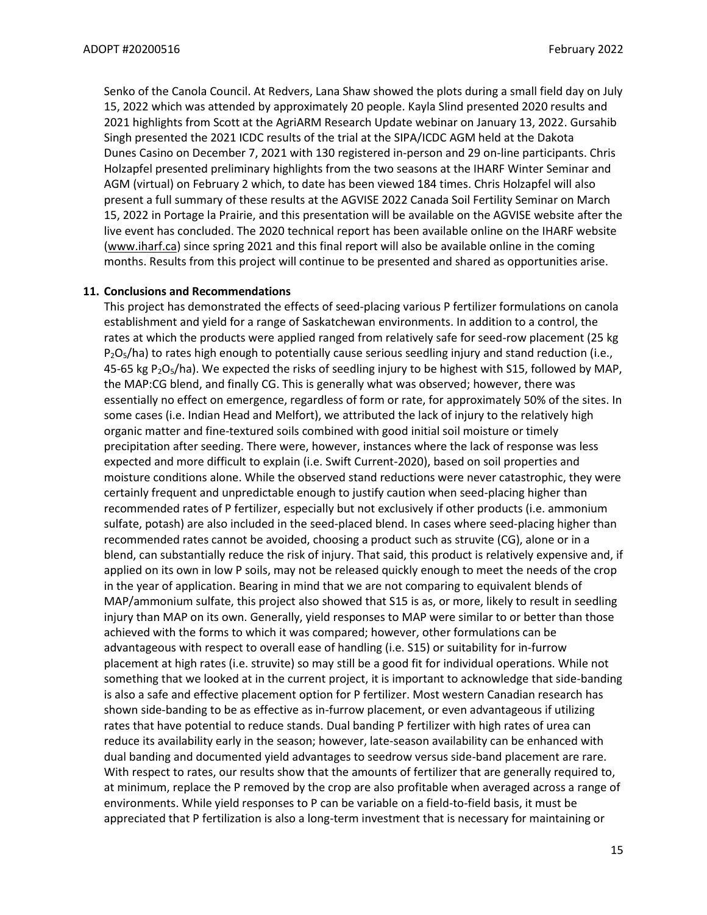Senko of the Canola Council. At Redvers, Lana Shaw showed the plots during a small field day on July 15, 2022 which was attended by approximately 20 people. Kayla Slind presented 2020 results and 2021 highlights from Scott at the AgriARM Research Update webinar on January 13, 2022. Gursahib Singh presented the 2021 ICDC results of the trial at the SIPA/ICDC AGM held at the Dakota Dunes Casino on December 7, 2021 with 130 registered in-person and 29 on-line participants. Chris Holzapfel presented preliminary highlights from the two seasons at the IHARF Winter Seminar and AGM (virtual) on February 2 which, to date has been viewed 184 times. Chris Holzapfel will also present a full summary of these results at the AGVISE 2022 Canada Soil Fertility Seminar on March 15, 2022 in Portage la Prairie, and this presentation will be available on the AGVISE website after the live event has concluded. The 2020 technical report has been available online on the IHARF website [\(www.iharf.ca\)](http://www.iharf.ca/) since spring 2021 and this final report will also be available online in the coming months. Results from this project will continue to be presented and shared as opportunities arise.

### **11. Conclusions and Recommendations**

This project has demonstrated the effects of seed-placing various P fertilizer formulations on canola establishment and yield for a range of Saskatchewan environments. In addition to a control, the rates at which the products were applied ranged from relatively safe for seed-row placement (25 kg  $P_2O_5/ha$ ) to rates high enough to potentially cause serious seedling injury and stand reduction (i.e., 45-65 kg  $P_2O_5/ha$ ). We expected the risks of seedling injury to be highest with S15, followed by MAP, the MAP:CG blend, and finally CG. This is generally what was observed; however, there was essentially no effect on emergence, regardless of form or rate, for approximately 50% of the sites. In some cases (i.e. Indian Head and Melfort), we attributed the lack of injury to the relatively high organic matter and fine-textured soils combined with good initial soil moisture or timely precipitation after seeding. There were, however, instances where the lack of response was less expected and more difficult to explain (i.e. Swift Current-2020), based on soil properties and moisture conditions alone. While the observed stand reductions were never catastrophic, they were certainly frequent and unpredictable enough to justify caution when seed-placing higher than recommended rates of P fertilizer, especially but not exclusively if other products (i.e. ammonium sulfate, potash) are also included in the seed-placed blend. In cases where seed-placing higher than recommended rates cannot be avoided, choosing a product such as struvite (CG), alone or in a blend, can substantially reduce the risk of injury. That said, this product is relatively expensive and, if applied on its own in low P soils, may not be released quickly enough to meet the needs of the crop in the year of application. Bearing in mind that we are not comparing to equivalent blends of MAP/ammonium sulfate, this project also showed that S15 is as, or more, likely to result in seedling injury than MAP on its own. Generally, yield responses to MAP were similar to or better than those achieved with the forms to which it was compared; however, other formulations can be advantageous with respect to overall ease of handling (i.e. S15) or suitability for in-furrow placement at high rates (i.e. struvite) so may still be a good fit for individual operations. While not something that we looked at in the current project, it is important to acknowledge that side-banding is also a safe and effective placement option for P fertilizer. Most western Canadian research has shown side-banding to be as effective as in-furrow placement, or even advantageous if utilizing rates that have potential to reduce stands. Dual banding P fertilizer with high rates of urea can reduce its availability early in the season; however, late-season availability can be enhanced with dual banding and documented yield advantages to seedrow versus side-band placement are rare. With respect to rates, our results show that the amounts of fertilizer that are generally required to, at minimum, replace the P removed by the crop are also profitable when averaged across a range of environments. While yield responses to P can be variable on a field-to-field basis, it must be appreciated that P fertilization is also a long-term investment that is necessary for maintaining or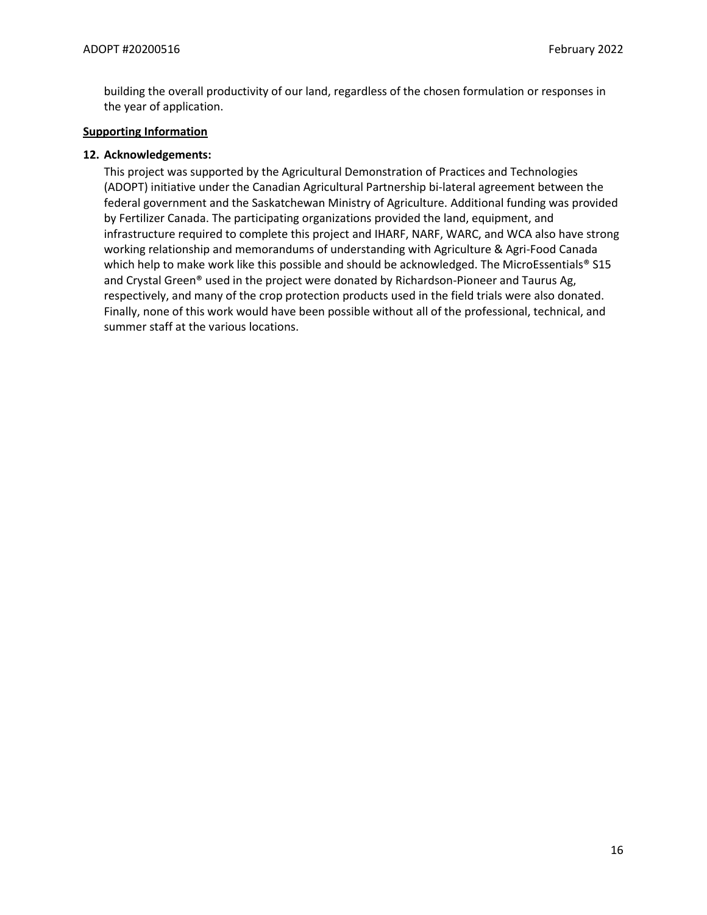building the overall productivity of our land, regardless of the chosen formulation or responses in the year of application.

# **Supporting Information**

# **12. Acknowledgements:**

This project was supported by the Agricultural Demonstration of Practices and Technologies (ADOPT) initiative under the Canadian Agricultural Partnership bi-lateral agreement between the federal government and the Saskatchewan Ministry of Agriculture. Additional funding was provided by Fertilizer Canada. The participating organizations provided the land, equipment, and infrastructure required to complete this project and IHARF, NARF, WARC, and WCA also have strong working relationship and memorandums of understanding with Agriculture & Agri-Food Canada which help to make work like this possible and should be acknowledged. The MicroEssentials® S15 and Crystal Green® used in the project were donated by Richardson-Pioneer and Taurus Ag, respectively, and many of the crop protection products used in the field trials were also donated. Finally, none of this work would have been possible without all of the professional, technical, and summer staff at the various locations.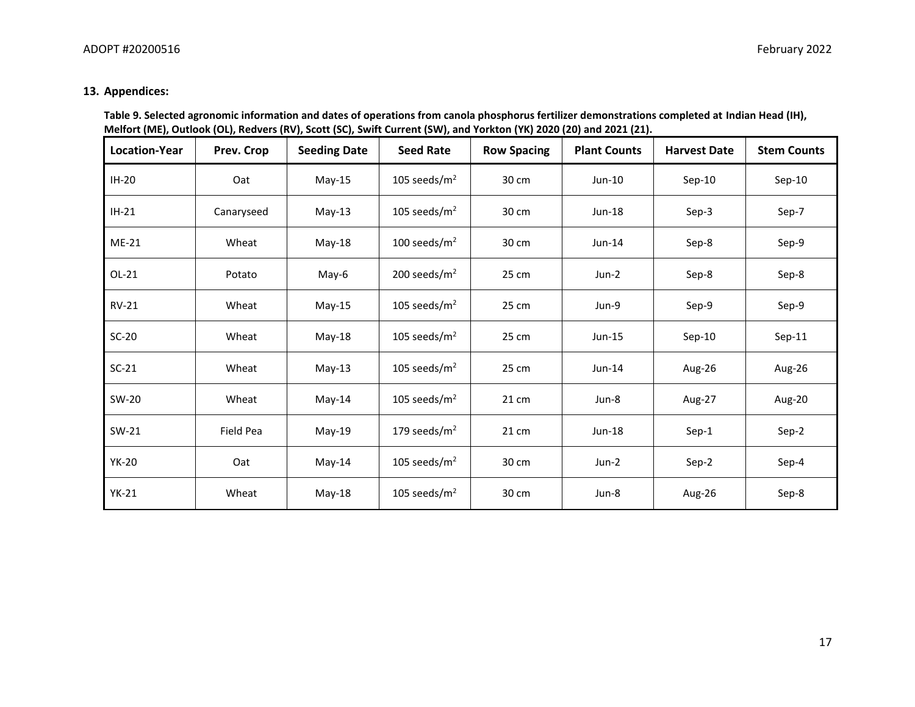# **13. Appendices:**

| Table 9. Selected agronomic information and dates of operations from canola phosphorus fertilizer demonstrations completed at Indian Head (IH), |
|-------------------------------------------------------------------------------------------------------------------------------------------------|
| Melfort (ME), Outlook (OL), Redvers (RV), Scott (SC), Swift Current (SW), and Yorkton (YK) 2020 (20) and 2021 (21).                             |

| Location-Year | Prev. Crop | <b>Seeding Date</b> | <b>Seed Rate</b> | <b>Row Spacing</b> | <b>Plant Counts</b> | <b>Harvest Date</b> | <b>Stem Counts</b> |
|---------------|------------|---------------------|------------------|--------------------|---------------------|---------------------|--------------------|
| $IH-20$       | Oat        | $May-15$            | 105 seeds/ $m2$  | 30 cm              | $Jun-10$            | $Sep-10$            | $Sep-10$           |
| $IH-21$       | Canaryseed | $May-13$            | 105 seeds/ $m2$  | 30 cm              | Jun-18              | Sep-3               | Sep-7              |
| $ME-21$       | Wheat      | May-18              | 100 seeds/ $m2$  | 30 cm              | $Jun-14$            | Sep-8               | Sep-9              |
| $OL-21$       | Potato     | May-6               | 200 seeds/ $m2$  | 25 cm              | Jun-2               | Sep-8               | Sep-8              |
| $RV-21$       | Wheat      | $May-15$            | 105 seeds/ $m2$  | 25 cm              | Jun-9               | Sep-9               | Sep-9              |
| $SC-20$       | Wheat      | May-18              | 105 seeds/ $m2$  | 25 cm              | Jun-15              | $Sep-10$            | $Sep-11$           |
| $SC-21$       | Wheat      | $May-13$            | 105 seeds/ $m2$  | 25 cm              | $Jun-14$            | Aug-26              | Aug-26             |
| SW-20         | Wheat      | May-14              | 105 seeds/ $m2$  | 21 cm              | Jun-8               | Aug-27              | Aug-20             |
| SW-21         | Field Pea  | May-19              | 179 seeds/ $m2$  | 21 cm              | Jun-18              | Sep-1               | Sep-2              |
| <b>YK-20</b>  | Oat        | May-14              | 105 seeds/ $m2$  | 30 cm              | Jun-2               | Sep-2               | Sep-4              |
| $YK-21$       | Wheat      | May-18              | 105 seeds/ $m2$  | 30 cm              | Jun-8               | Aug-26              | Sep-8              |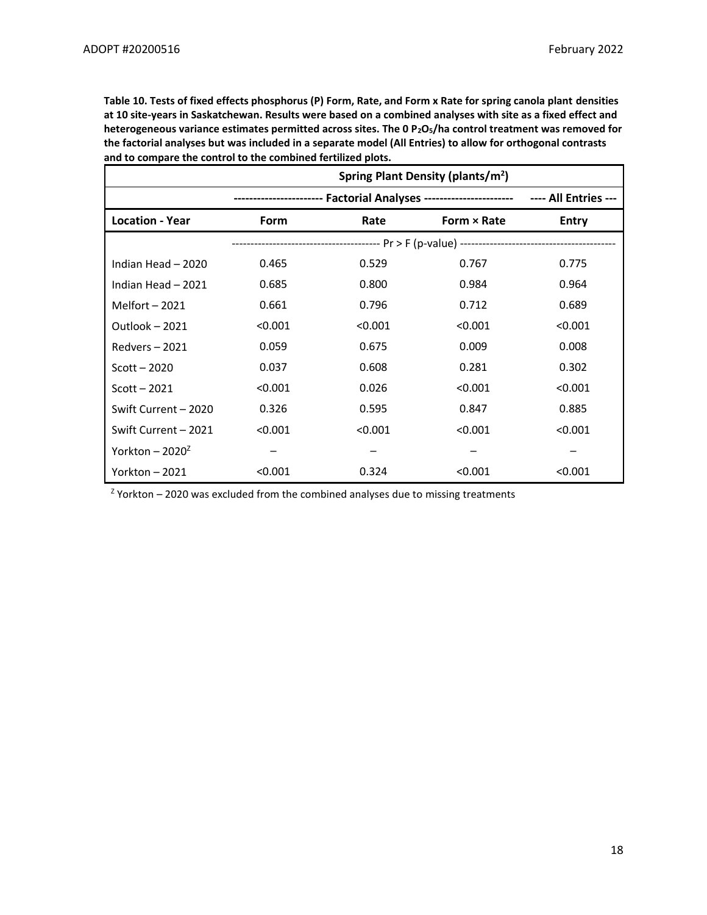**Table 10. Tests of fixed effects phosphorus (P) Form, Rate, and Form x Rate for spring canola plant densities at 10 site-years in Saskatchewan. Results were based on a combined analyses with site as a fixed effect and heterogeneous variance estimates permitted across sites. The 0 P2O5/ha control treatment was removed for the factorial analyses but was included in a separate model (All Entries) to allow for orthogonal contrasts and to compare the control to the combined fertilized plots.**

|                        | Spring Plant Density (plants/m <sup>2</sup> ) |         |                                                                                        |              |  |
|------------------------|-----------------------------------------------|---------|----------------------------------------------------------------------------------------|--------------|--|
|                        |                                               |         | ---------------------- Factorial Analyses ----------------------- ---- All Entries --- |              |  |
| <b>Location - Year</b> | Form                                          | Rate    | Form $\times$ Rate                                                                     | <b>Entry</b> |  |
|                        |                                               |         |                                                                                        |              |  |
| Indian Head - 2020     | 0.465                                         | 0.529   | 0.767                                                                                  | 0.775        |  |
| Indian Head - 2021     | 0.685                                         | 0.800   | 0.984                                                                                  | 0.964        |  |
| Melfort $-2021$        | 0.661                                         | 0.796   | 0.712                                                                                  | 0.689        |  |
| Outlook $-2021$        | < 0.001                                       | < 0.001 | < 0.001                                                                                | < 0.001      |  |
| $Redvers - 2021$       | 0.059                                         | 0.675   | 0.009                                                                                  | 0.008        |  |
| $Scott - 2020$         | 0.037                                         | 0.608   | 0.281                                                                                  | 0.302        |  |
| Scott $-2021$          | < 0.001                                       | 0.026   | < 0.001                                                                                | < 0.001      |  |
| Swift Current - 2020   | 0.326                                         | 0.595   | 0.847                                                                                  | 0.885        |  |
| Swift Current - 2021   | < 0.001                                       | < 0.001 | < 0.001                                                                                | < 0.001      |  |
| Yorkton - $2020^2$     |                                               |         |                                                                                        |              |  |
| Yorkton $-2021$        | < 0.001                                       | 0.324   | < 0.001                                                                                | < 0.001      |  |

 $Z$  Yorkton – 2020 was excluded from the combined analyses due to missing treatments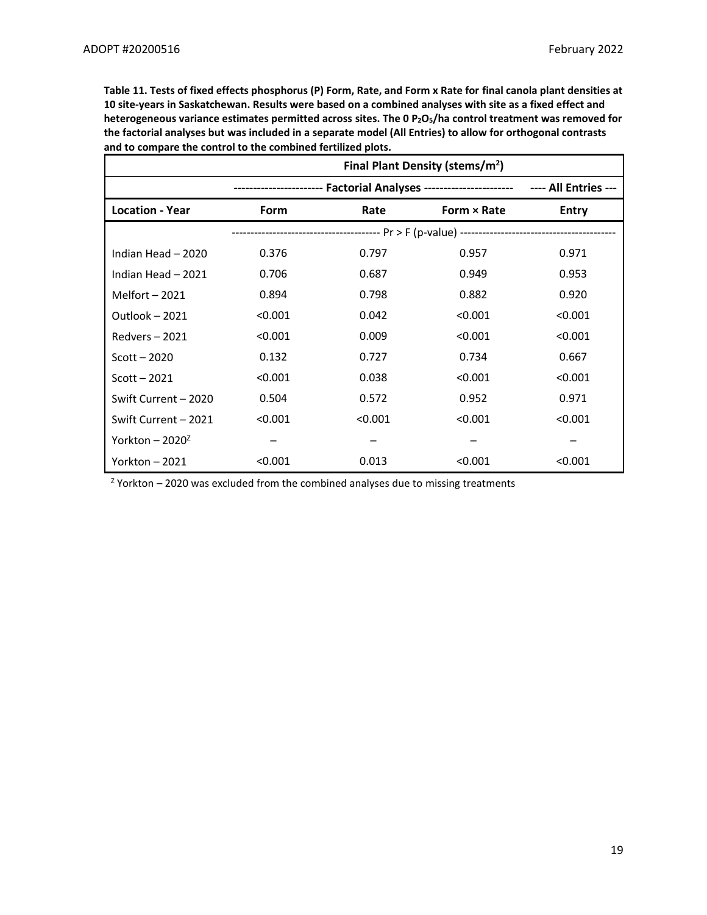**Table 11. Tests of fixed effects phosphorus (P) Form, Rate, and Form x Rate for final canola plant densities at 10 site-years in Saskatchewan. Results were based on a combined analyses with site as a fixed effect and heterogeneous variance estimates permitted across sites. The 0 P2O5/ha control treatment was removed for the factorial analyses but was included in a separate model (All Entries) to allow for orthogonal contrasts and to compare the control to the combined fertilized plots.**

|                             | Final Plant Density (stems/m <sup>2</sup> ) |         |                                                                                        |              |  |  |
|-----------------------------|---------------------------------------------|---------|----------------------------------------------------------------------------------------|--------------|--|--|
|                             |                                             |         | ---------------------- Factorial Analyses ----------------------- ---- All Entries --- |              |  |  |
| <b>Location - Year</b>      | Form                                        | Rate    | Form $\times$ Rate                                                                     | <b>Entry</b> |  |  |
|                             |                                             |         |                                                                                        |              |  |  |
| Indian Head - 2020          | 0.376                                       | 0.797   | 0.957                                                                                  | 0.971        |  |  |
| Indian Head - 2021          | 0.706                                       | 0.687   | 0.949                                                                                  | 0.953        |  |  |
| Melfort $-2021$             | 0.894                                       | 0.798   | 0.882                                                                                  | 0.920        |  |  |
| Outlook - 2021              | < 0.001                                     | 0.042   | < 0.001                                                                                | < 0.001      |  |  |
| $Redvers - 2021$            | < 0.001                                     | 0.009   | < 0.001                                                                                | < 0.001      |  |  |
| $Scott - 2020$              | 0.132                                       | 0.727   | 0.734                                                                                  | 0.667        |  |  |
| $Scott - 2021$              | < 0.001                                     | 0.038   | < 0.001                                                                                | < 0.001      |  |  |
| Swift Current - 2020        | 0.504                                       | 0.572   | 0.952                                                                                  | 0.971        |  |  |
| Swift Current - 2021        | < 0.001                                     | < 0.001 | < 0.001                                                                                | < 0.001      |  |  |
| Yorkton – 2020 <sup>2</sup> |                                             |         |                                                                                        |              |  |  |
| Yorkton – 2021              | < 0.001                                     | 0.013   | < 0.001                                                                                | < 0.001      |  |  |

 $Z$  Yorkton – 2020 was excluded from the combined analyses due to missing treatments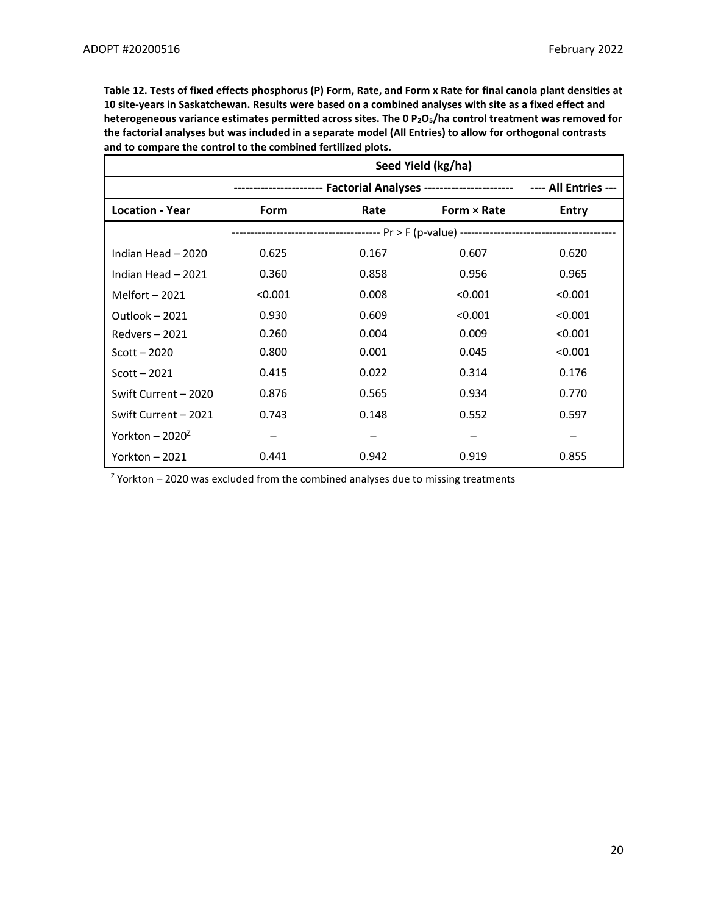**Table 12. Tests of fixed effects phosphorus (P) Form, Rate, and Form x Rate for final canola plant densities at 10 site-years in Saskatchewan. Results were based on a combined analyses with site as a fixed effect and heterogeneous variance estimates permitted across sites. The 0 P2O5/ha control treatment was removed for the factorial analyses but was included in a separate model (All Entries) to allow for orthogonal contrasts and to compare the control to the combined fertilized plots.**

|                        |         |                                                                                  | Seed Yield (kg/ha) |              |
|------------------------|---------|----------------------------------------------------------------------------------|--------------------|--------------|
|                        |         | ------------- Factorial Analyses -----------------------    ---- All Entries --- |                    |              |
| <b>Location - Year</b> | Form    | Rate                                                                             | Form $\times$ Rate | <b>Entry</b> |
|                        |         |                                                                                  |                    |              |
| Indian Head - 2020     | 0.625   | 0.167                                                                            | 0.607              | 0.620        |
| Indian Head - 2021     | 0.360   | 0.858                                                                            | 0.956              | 0.965        |
| Melfort $-2021$        | < 0.001 | 0.008                                                                            | < 0.001            | < 0.001      |
| Outlook - 2021         | 0.930   | 0.609                                                                            | < 0.001            | < 0.001      |
| Redvers-2021           | 0.260   | 0.004                                                                            | 0.009              | < 0.001      |
| $Scott - 2020$         | 0.800   | 0.001                                                                            | 0.045              | < 0.001      |
| Scott $-2021$          | 0.415   | 0.022                                                                            | 0.314              | 0.176        |
| Swift Current - 2020   | 0.876   | 0.565                                                                            | 0.934              | 0.770        |
| Swift Current - 2021   | 0.743   | 0.148                                                                            | 0.552              | 0.597        |
| Yorkton - $2020^2$     |         |                                                                                  |                    |              |
| Yorkton $-2021$        | 0.441   | 0.942                                                                            | 0.919              | 0.855        |

 $Z$  Yorkton – 2020 was excluded from the combined analyses due to missing treatments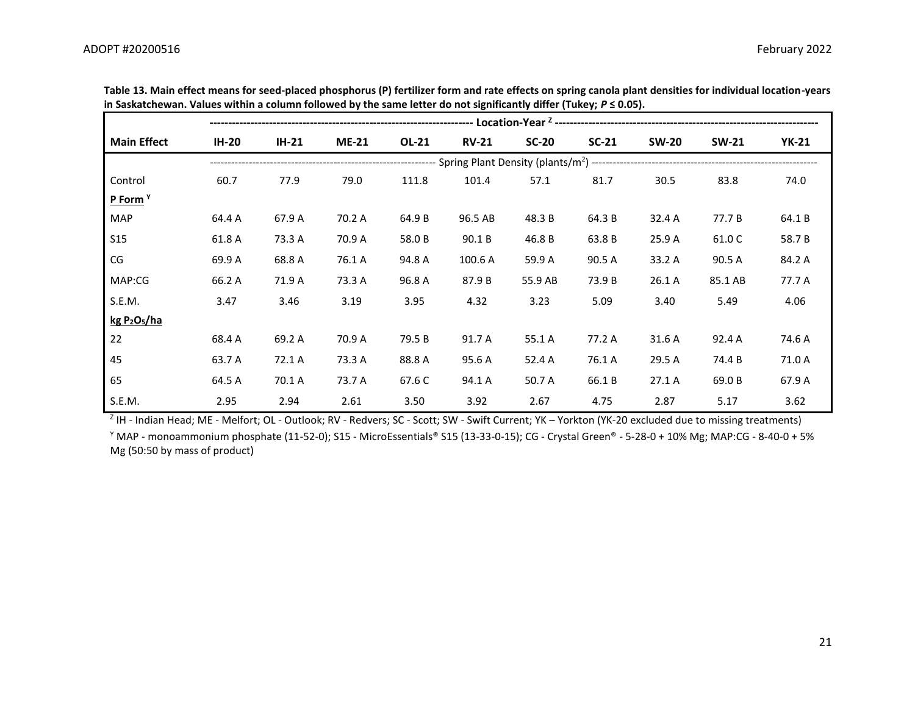| <b>Main Effect</b>                  | <b>IH-20</b> | <b>IH-21</b> | <b>ME-21</b> | OL-21  | <b>RV-21</b> | $SC-20$ | $SC-21$ | <b>SW-20</b> | <b>SW-21</b> | <b>YK-21</b> |  |  |  |  |
|-------------------------------------|--------------|--------------|--------------|--------|--------------|---------|---------|--------------|--------------|--------------|--|--|--|--|
|                                     |              |              |              |        |              |         |         |              |              |              |  |  |  |  |
| Control                             | 60.7         | 77.9         | 79.0         | 111.8  | 101.4        | 57.1    | 81.7    | 30.5         | 83.8         | 74.0         |  |  |  |  |
| P Form <sup>Y</sup>                 |              |              |              |        |              |         |         |              |              |              |  |  |  |  |
| <b>MAP</b>                          | 64.4 A       | 67.9 A       | 70.2 A       | 64.9 B | 96.5 AB      | 48.3 B  | 64.3 B  | 32.4 A       | 77.7 B       | 64.1B        |  |  |  |  |
| <b>S15</b>                          | 61.8 A       | 73.3 A       | 70.9 A       | 58.0 B | 90.1 B       | 46.8 B  | 63.8 B  | 25.9 A       | 61.0 C       | 58.7B        |  |  |  |  |
| CG                                  | 69.9 A       | 68.8 A       | 76.1 A       | 94.8 A | 100.6 A      | 59.9 A  | 90.5 A  | 33.2 A       | 90.5 A       | 84.2 A       |  |  |  |  |
| MAP:CG                              | 66.2 A       | 71.9 A       | 73.3 A       | 96.8 A | 87.9 B       | 55.9 AB | 73.9 B  | 26.1 A       | 85.1 AB      | 77.7 A       |  |  |  |  |
| S.E.M.                              | 3.47         | 3.46         | 3.19         | 3.95   | 4.32         | 3.23    | 5.09    | 3.40         | 5.49         | 4.06         |  |  |  |  |
| kgP <sub>2</sub> O <sub>5</sub> /ha |              |              |              |        |              |         |         |              |              |              |  |  |  |  |
| 22                                  | 68.4 A       | 69.2 A       | 70.9 A       | 79.5 B | 91.7 A       | 55.1 A  | 77.2 A  | 31.6 A       | 92.4 A       | 74.6 A       |  |  |  |  |
| 45                                  | 63.7 A       | 72.1 A       | 73.3 A       | 88.8 A | 95.6 A       | 52.4 A  | 76.1 A  | 29.5 A       | 74.4 B       | 71.0 A       |  |  |  |  |
| 65                                  | 64.5 A       | 70.1 A       | 73.7 A       | 67.6 C | 94.1 A       | 50.7 A  | 66.1B   | 27.1A        | 69.0 B       | 67.9 A       |  |  |  |  |
| S.E.M.                              | 2.95         | 2.94         | 2.61         | 3.50   | 3.92         | 2.67    | 4.75    | 2.87         | 5.17         | 3.62         |  |  |  |  |

**Table 13. Main effect means for seed-placed phosphorus (P) fertilizer form and rate effects on spring canola plant densities for individual location-years in Saskatchewan. Values within a column followed by the same letter do not significantly differ (Tukey;** *P* **≤ 0.05).**

<sup>Z</sup> IH - Indian Head; ME - Melfort; OL - Outlook; RV - Redvers; SC - Scott; SW - Swift Current; YK – Yorkton (YK-20 excluded due to missing treatments) <sup>Y</sup> MAP - monoammonium phosphate (11-52-0); S15 - MicroEssentials® S15 (13-33-0-15); CG - Crystal Green® - 5-28-0 + 10% Mg; MAP:CG - 8-40-0 + 5% Mg (50:50 by mass of product)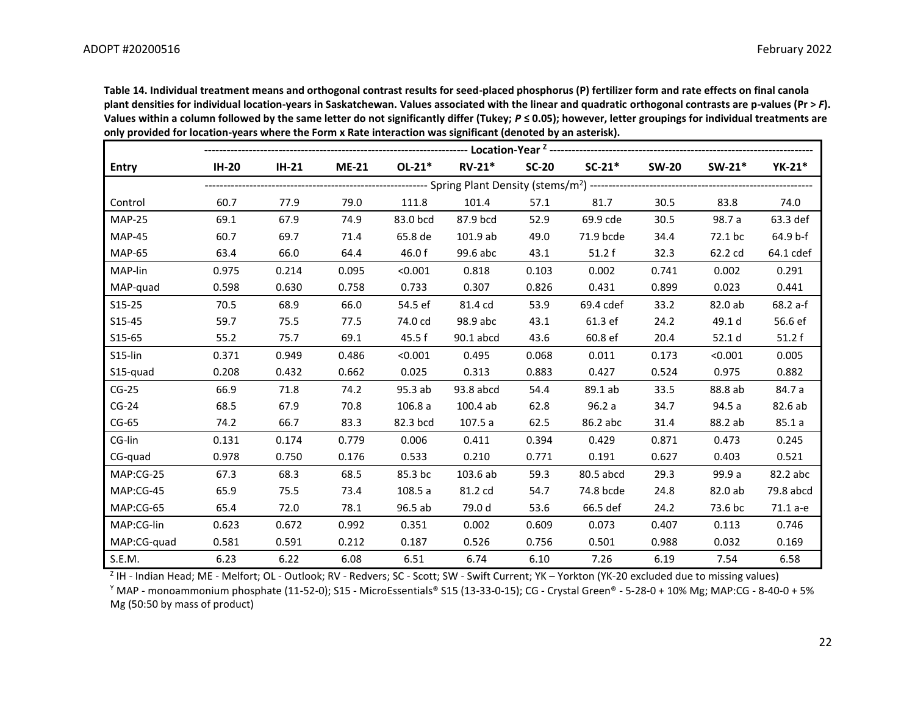**Table 14. Individual treatment means and orthogonal contrast results for seed-placed phosphorus (P) fertilizer form and rate effects on final canola plant densities for individual location-years in Saskatchewan. Values associated with the linear and quadratic orthogonal contrasts are p-values (Pr >** *F***). Values within a column followed by the same letter do not significantly differ (Tukey;** *P* **≤ 0.05); however, letter groupings for individual treatments are only provided for location-years where the Form x Rate interaction was significant (denoted by an asterisk).** 

| <b>Entry</b>  | <b>IH-20</b> | <b>IH-21</b> | <b>ME-21</b> | $OL-21*$ | $RV-21*$  | $SC-20$ | $SC-21*$  | <b>SW-20</b> | $SW-21*$ | YK-21*    |
|---------------|--------------|--------------|--------------|----------|-----------|---------|-----------|--------------|----------|-----------|
|               |              |              |              |          |           |         |           |              |          |           |
| Control       | 60.7         | 77.9         | 79.0         | 111.8    | 101.4     | 57.1    | 81.7      | 30.5         | 83.8     | 74.0      |
| <b>MAP-25</b> | 69.1         | 67.9         | 74.9         | 83.0 bcd | 87.9 bcd  | 52.9    | 69.9 cde  | 30.5         | 98.7 a   | 63.3 def  |
| <b>MAP-45</b> | 60.7         | 69.7         | 71.4         | 65.8 de  | 101.9 ab  | 49.0    | 71.9 bcde | 34.4         | 72.1 bc  | 64.9 b-f  |
| <b>MAP-65</b> | 63.4         | 66.0         | 64.4         | 46.0 f   | 99.6 abc  | 43.1    | 51.2f     | 32.3         | 62.2 cd  | 64.1 cdef |
| MAP-lin       | 0.975        | 0.214        | 0.095        | < 0.001  | 0.818     | 0.103   | 0.002     | 0.741        | 0.002    | 0.291     |
| MAP-quad      | 0.598        | 0.630        | 0.758        | 0.733    | 0.307     | 0.826   | 0.431     | 0.899        | 0.023    | 0.441     |
| $S15-25$      | 70.5         | 68.9         | 66.0         | 54.5 ef  | 81.4 cd   | 53.9    | 69.4 cdef | 33.2         | 82.0 ab  | 68.2 a-f  |
| S15-45        | 59.7         | 75.5         | 77.5         | 74.0 cd  | 98.9 abc  | 43.1    | 61.3 ef   | 24.2         | 49.1 d   | 56.6 ef   |
| S15-65        | 55.2         | 75.7         | 69.1         | 45.5 f   | 90.1 abcd | 43.6    | 60.8 ef   | 20.4         | 52.1 d   | 51.2f     |
| S15-lin       | 0.371        | 0.949        | 0.486        | < 0.001  | 0.495     | 0.068   | 0.011     | 0.173        | < 0.001  | 0.005     |
| S15-quad      | 0.208        | 0.432        | 0.662        | 0.025    | 0.313     | 0.883   | 0.427     | 0.524        | 0.975    | 0.882     |
| $CG-25$       | 66.9         | 71.8         | 74.2         | 95.3 ab  | 93.8 abcd | 54.4    | 89.1 ab   | 33.5         | 88.8 ab  | 84.7 a    |
| $CG-24$       | 68.5         | 67.9         | 70.8         | 106.8a   | 100.4ab   | 62.8    | 96.2a     | 34.7         | 94.5 a   | 82.6 ab   |
| $CG-65$       | 74.2         | 66.7         | 83.3         | 82.3 bcd | 107.5 a   | 62.5    | 86.2 abc  | 31.4         | 88.2 ab  | 85.1a     |
| CG-lin        | 0.131        | 0.174        | 0.779        | 0.006    | 0.411     | 0.394   | 0.429     | 0.871        | 0.473    | 0.245     |
| CG-quad       | 0.978        | 0.750        | 0.176        | 0.533    | 0.210     | 0.771   | 0.191     | 0.627        | 0.403    | 0.521     |
| MAP:CG-25     | 67.3         | 68.3         | 68.5         | 85.3 bc  | 103.6 ab  | 59.3    | 80.5 abcd | 29.3         | 99.9 a   | 82.2 abc  |
| MAP:CG-45     | 65.9         | 75.5         | 73.4         | 108.5 a  | 81.2 cd   | 54.7    | 74.8 bcde | 24.8         | 82.0 ab  | 79.8 abcd |
| MAP:CG-65     | 65.4         | 72.0         | 78.1         | 96.5 ab  | 79.0 d    | 53.6    | 66.5 def  | 24.2         | 73.6 bc  | 71.1 a-e  |
| MAP:CG-lin    | 0.623        | 0.672        | 0.992        | 0.351    | 0.002     | 0.609   | 0.073     | 0.407        | 0.113    | 0.746     |
| MAP:CG-quad   | 0.581        | 0.591        | 0.212        | 0.187    | 0.526     | 0.756   | 0.501     | 0.988        | 0.032    | 0.169     |
| S.E.M.        | 6.23         | 6.22         | 6.08         | 6.51     | 6.74      | 6.10    | 7.26      | 6.19         | 7.54     | 6.58      |

<sup>Z</sup> IH - Indian Head; ME - Melfort; OL - Outlook; RV - Redvers; SC - Scott; SW - Swift Current; YK – Yorkton (YK-20 excluded due to missing values)

 $\gamma$  MAP - monoammonium phosphate (11-52-0); S15 - MicroEssentials® S15 (13-33-0-15); CG - Crystal Green® - 5-28-0 + 10% Mg; MAP:CG - 8-40-0 + 5% Mg (50:50 by mass of product)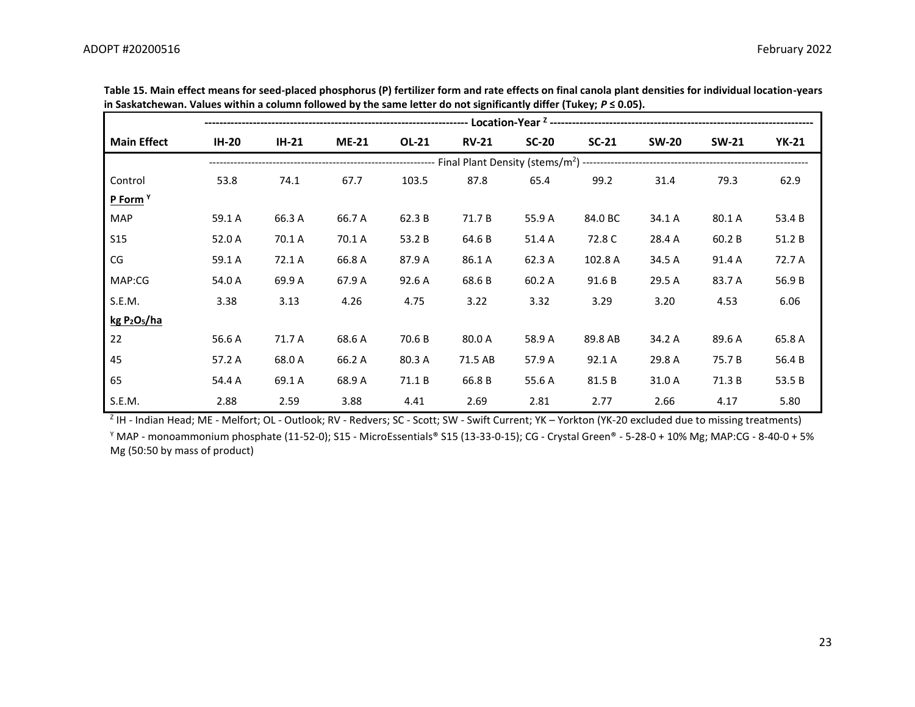| <b>Main Effect</b>                   | <b>IH-20</b> | $IH-21$ | $ME-21$ | <b>OL-21</b> | <b>RV-21</b> | $SC-20$ | $SC-21$ | <b>SW-20</b> | <b>SW-21</b> | <b>YK-21</b> |  |
|--------------------------------------|--------------|---------|---------|--------------|--------------|---------|---------|--------------|--------------|--------------|--|
|                                      |              |         |         |              |              |         |         |              |              |              |  |
| Control                              | 53.8         | 74.1    | 67.7    | 103.5        | 87.8         | 65.4    | 99.2    | 31.4         | 79.3         | 62.9         |  |
| P Form <sup>Y</sup>                  |              |         |         |              |              |         |         |              |              |              |  |
| <b>MAP</b>                           | 59.1 A       | 66.3 A  | 66.7 A  | 62.3 B       | 71.7 B       | 55.9 A  | 84.0 BC | 34.1 A       | 80.1 A       | 53.4 B       |  |
| <b>S15</b>                           | 52.0 A       | 70.1 A  | 70.1 A  | 53.2 B       | 64.6 B       | 51.4 A  | 72.8 C  | 28.4 A       | 60.2B        | 51.2 B       |  |
| CG                                   | 59.1 A       | 72.1 A  | 66.8 A  | 87.9 A       | 86.1 A       | 62.3 A  | 102.8 A | 34.5 A       | 91.4 A       | 72.7 A       |  |
| MAP:CG                               | 54.0 A       | 69.9 A  | 67.9 A  | 92.6 A       | 68.6B        | 60.2 A  | 91.6 B  | 29.5 A       | 83.7 A       | 56.9B        |  |
| S.E.M.                               | 3.38         | 3.13    | 4.26    | 4.75         | 3.22         | 3.32    | 3.29    | 3.20         | 4.53         | 6.06         |  |
| kg P <sub>2</sub> O <sub>5</sub> /ha |              |         |         |              |              |         |         |              |              |              |  |
| 22                                   | 56.6 A       | 71.7 A  | 68.6 A  | 70.6 B       | 80.0 A       | 58.9 A  | 89.8 AB | 34.2 A       | 89.6 A       | 65.8 A       |  |
| 45                                   | 57.2 A       | 68.0 A  | 66.2 A  | 80.3 A       | 71.5 AB      | 57.9 A  | 92.1 A  | 29.8 A       | 75.7 B       | 56.4 B       |  |
| 65                                   | 54.4 A       | 69.1 A  | 68.9 A  | 71.1B        | 66.8 B       | 55.6 A  | 81.5 B  | 31.0 A       | 71.3 B       | 53.5 B       |  |
| S.E.M.                               | 2.88         | 2.59    | 3.88    | 4.41         | 2.69         | 2.81    | 2.77    | 2.66         | 4.17         | 5.80         |  |

**Table 15. Main effect means for seed-placed phosphorus (P) fertilizer form and rate effects on final canola plant densities for individual location-years in Saskatchewan. Values within a column followed by the same letter do not significantly differ (Tukey;** *P* **≤ 0.05).**

<sup>Z</sup> IH - Indian Head; ME - Melfort; OL - Outlook; RV - Redvers; SC - Scott; SW - Swift Current; YK – Yorkton (YK-20 excluded due to missing treatments) <sup>Y</sup> MAP - monoammonium phosphate (11-52-0); S15 - MicroEssentials® S15 (13-33-0-15); CG - Crystal Green® - 5-28-0 + 10% Mg; MAP:CG - 8-40-0 + 5% Mg (50:50 by mass of product)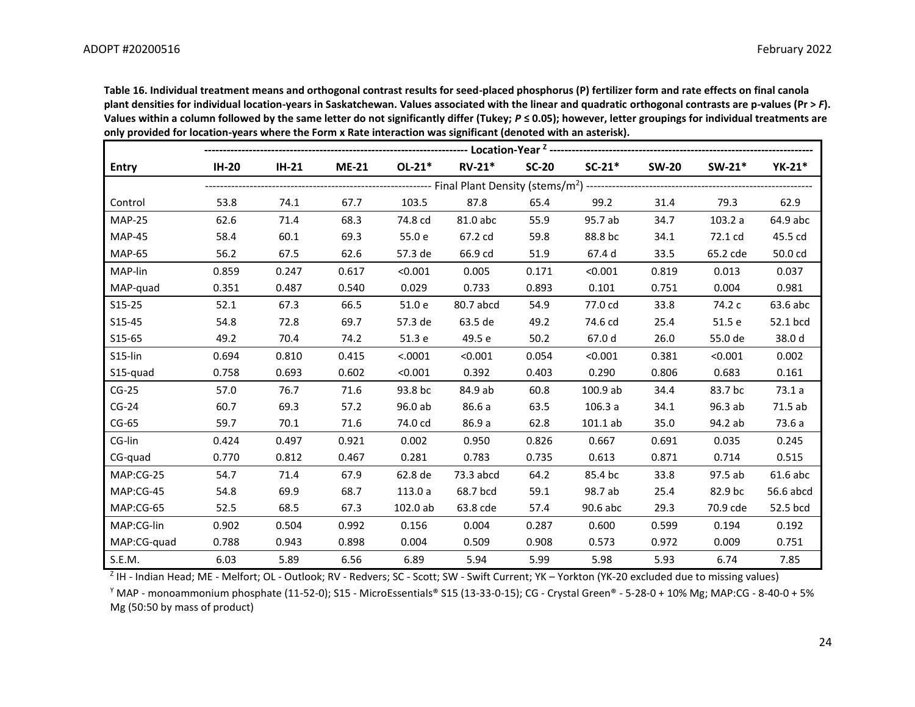**Table 16. Individual treatment means and orthogonal contrast results for seed-placed phosphorus (P) fertilizer form and rate effects on final canola plant densities for individual location-years in Saskatchewan. Values associated with the linear and quadratic orthogonal contrasts are p-values (Pr >** *F***). Values within a column followed by the same letter do not significantly differ (Tukey;** *P* **≤ 0.05); however, letter groupings for individual treatments are only provided for location-years where the Form x Rate interaction was significant (denoted with an asterisk).**

| <b>Entry</b>  | <b>IH-20</b> | $IH-21$ | <b>ME-21</b> | $OL-21*$ | $RV-21*$  | $SC-20$ | $SC-21*$   | <b>SW-20</b> | $SW-21*$ | $YK-21*$  |
|---------------|--------------|---------|--------------|----------|-----------|---------|------------|--------------|----------|-----------|
|               |              |         |              |          |           |         |            |              |          |           |
| Control       | 53.8         | 74.1    | 67.7         | 103.5    | 87.8      | 65.4    | 99.2       | 31.4         | 79.3     | 62.9      |
| <b>MAP-25</b> | 62.6         | 71.4    | 68.3         | 74.8 cd  | 81.0 abc  | 55.9    | 95.7 ab    | 34.7         | 103.2a   | 64.9 abc  |
| <b>MAP-45</b> | 58.4         | 60.1    | 69.3         | 55.0 e   | 67.2 cd   | 59.8    | 88.8 bc    | 34.1         | 72.1 cd  | 45.5 cd   |
| <b>MAP-65</b> | 56.2         | 67.5    | 62.6         | 57.3 de  | 66.9 cd   | 51.9    | 67.4 d     | 33.5         | 65.2 cde | 50.0 cd   |
| MAP-lin       | 0.859        | 0.247   | 0.617        | < 0.001  | 0.005     | 0.171   | < 0.001    | 0.819        | 0.013    | 0.037     |
| MAP-quad      | 0.351        | 0.487   | 0.540        | 0.029    | 0.733     | 0.893   | 0.101      | 0.751        | 0.004    | 0.981     |
| $S15-25$      | 52.1         | 67.3    | 66.5         | 51.0 e   | 80.7 abcd | 54.9    | 77.0 cd    | 33.8         | 74.2 c   | 63.6 abc  |
| S15-45        | 54.8         | 72.8    | 69.7         | 57.3 de  | 63.5 de   | 49.2    | 74.6 cd    | 25.4         | 51.5 e   | 52.1 bcd  |
| S15-65        | 49.2         | 70.4    | 74.2         | 51.3 e   | 49.5 e    | 50.2    | 67.0 d     | 26.0         | 55.0 de  | 38.0 d    |
| S15-lin       | 0.694        | 0.810   | 0.415        | < .0001  | < 0.001   | 0.054   | < 0.001    | 0.381        | < 0.001  | 0.002     |
| S15-quad      | 0.758        | 0.693   | 0.602        | < 0.001  | 0.392     | 0.403   | 0.290      | 0.806        | 0.683    | 0.161     |
| $CG-25$       | 57.0         | 76.7    | 71.6         | 93.8 bc  | 84.9 ab   | 60.8    | 100.9 ab   | 34.4         | 83.7 bc  | 73.1a     |
| $CG-24$       | 60.7         | 69.3    | 57.2         | 96.0 ab  | 86.6 a    | 63.5    | 106.3a     | 34.1         | 96.3 ab  | 71.5 ab   |
| $CG-65$       | 59.7         | 70.1    | 71.6         | 74.0 cd  | 86.9 a    | 62.8    | $101.1$ ab | 35.0         | 94.2 ab  | 73.6 a    |
| CG-lin        | 0.424        | 0.497   | 0.921        | 0.002    | 0.950     | 0.826   | 0.667      | 0.691        | 0.035    | 0.245     |
| CG-quad       | 0.770        | 0.812   | 0.467        | 0.281    | 0.783     | 0.735   | 0.613      | 0.871        | 0.714    | 0.515     |
| MAP:CG-25     | 54.7         | 71.4    | 67.9         | 62.8 de  | 73.3 abcd | 64.2    | 85.4 bc    | 33.8         | 97.5 ab  | 61.6 abc  |
| MAP:CG-45     | 54.8         | 69.9    | 68.7         | 113.0 a  | 68.7 bcd  | 59.1    | 98.7 ab    | 25.4         | 82.9 bc  | 56.6 abcd |
| MAP:CG-65     | 52.5         | 68.5    | 67.3         | 102.0 ab | 63.8 cde  | 57.4    | 90.6 abc   | 29.3         | 70.9 cde | 52.5 bcd  |
| MAP:CG-lin    | 0.902        | 0.504   | 0.992        | 0.156    | 0.004     | 0.287   | 0.600      | 0.599        | 0.194    | 0.192     |
| MAP:CG-quad   | 0.788        | 0.943   | 0.898        | 0.004    | 0.509     | 0.908   | 0.573      | 0.972        | 0.009    | 0.751     |
| S.E.M.        | 6.03         | 5.89    | 6.56         | 6.89     | 5.94      | 5.99    | 5.98       | 5.93         | 6.74     | 7.85      |

<sup>Z</sup> IH - Indian Head; ME - Melfort; OL - Outlook; RV - Redvers; SC - Scott; SW - Swift Current; YK – Yorkton (YK-20 excluded due to missing values)

<sup>Y</sup> MAP - monoammonium phosphate (11-52-0); S15 - MicroEssentials® S15 (13-33-0-15); CG - Crystal Green® - 5-28-0 + 10% Mg; MAP:CG - 8-40-0 + 5% Mg (50:50 by mass of product)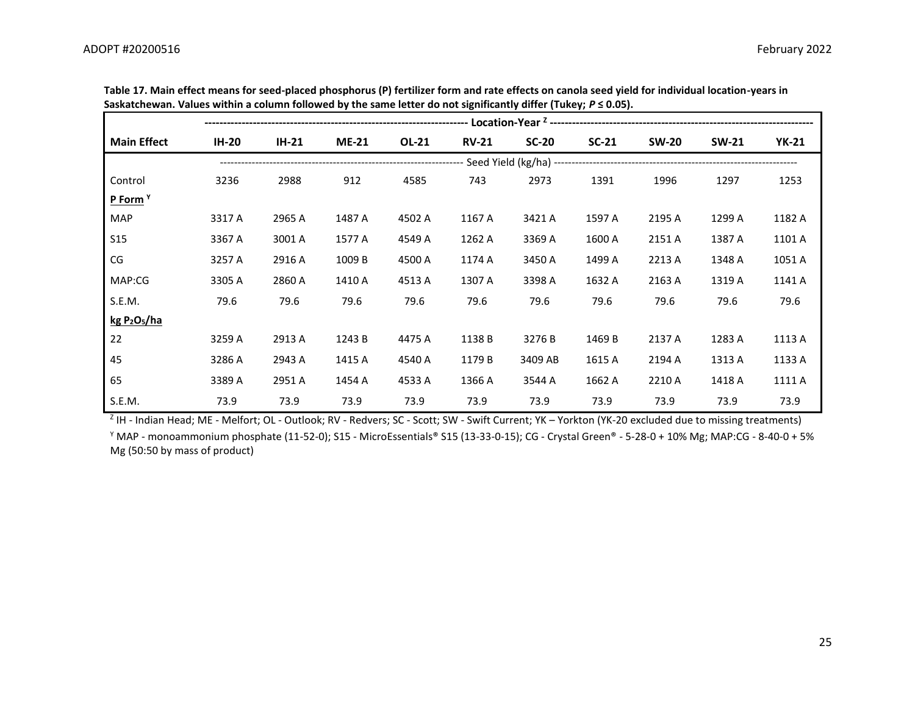| <b>Main Effect</b>                   | <b>IH-20</b> | $IH-21$ | <b>ME-21</b> | OL-21  | <b>RV-21</b> | $SC-20$ | $SC-21$ | <b>SW-20</b> | <b>SW-21</b> | YK-21  |  |
|--------------------------------------|--------------|---------|--------------|--------|--------------|---------|---------|--------------|--------------|--------|--|
|                                      |              |         |              |        |              |         |         |              |              |        |  |
| Control                              | 3236         | 2988    | 912          | 4585   | 743          | 2973    | 1391    | 1996         | 1297         | 1253   |  |
| P Form <sup>Y</sup>                  |              |         |              |        |              |         |         |              |              |        |  |
| <b>MAP</b>                           | 3317 A       | 2965 A  | 1487 A       | 4502 A | 1167 A       | 3421 A  | 1597 A  | 2195 A       | 1299 A       | 1182 A |  |
| <b>S15</b>                           | 3367 A       | 3001 A  | 1577 A       | 4549 A | 1262 A       | 3369 A  | 1600 A  | 2151 A       | 1387 A       | 1101 A |  |
| $\mathsf{CG}\xspace$                 | 3257 A       | 2916 A  | 1009 B       | 4500 A | 1174 A       | 3450 A  | 1499 A  | 2213 A       | 1348 A       | 1051 A |  |
| MAP:CG                               | 3305 A       | 2860 A  | 1410 A       | 4513 A | 1307 A       | 3398 A  | 1632 A  | 2163 A       | 1319 A       | 1141 A |  |
| S.E.M.                               | 79.6         | 79.6    | 79.6         | 79.6   | 79.6         | 79.6    | 79.6    | 79.6         | 79.6         | 79.6   |  |
| kg P <sub>2</sub> O <sub>5</sub> /ha |              |         |              |        |              |         |         |              |              |        |  |
| 22                                   | 3259 A       | 2913 A  | 1243 B       | 4475 A | 1138 B       | 3276 B  | 1469 B  | 2137 A       | 1283 A       | 1113 A |  |
| 45                                   | 3286 A       | 2943 A  | 1415 A       | 4540 A | 1179 B       | 3409 AB | 1615 A  | 2194 A       | 1313 A       | 1133 A |  |
| 65                                   | 3389 A       | 2951 A  | 1454 A       | 4533 A | 1366 A       | 3544 A  | 1662 A  | 2210 A       | 1418 A       | 1111 A |  |
| S.E.M.                               | 73.9         | 73.9    | 73.9         | 73.9   | 73.9         | 73.9    | 73.9    | 73.9         | 73.9         | 73.9   |  |

**Table 17. Main effect means for seed-placed phosphorus (P) fertilizer form and rate effects on canola seed yield for individual location-years in Saskatchewan. Values within a column followed by the same letter do not significantly differ (Tukey;** *P* **≤ 0.05).**

<sup>Z</sup> IH - Indian Head; ME - Melfort; OL - Outlook; RV - Redvers; SC - Scott; SW - Swift Current; YK – Yorkton (YK-20 excluded due to missing treatments) <sup>Y</sup> MAP - monoammonium phosphate (11-52-0); S15 - MicroEssentials® S15 (13-33-0-15); CG - Crystal Green® - 5-28-0 + 10% Mg; MAP:CG - 8-40-0 + 5% Mg (50:50 by mass of product)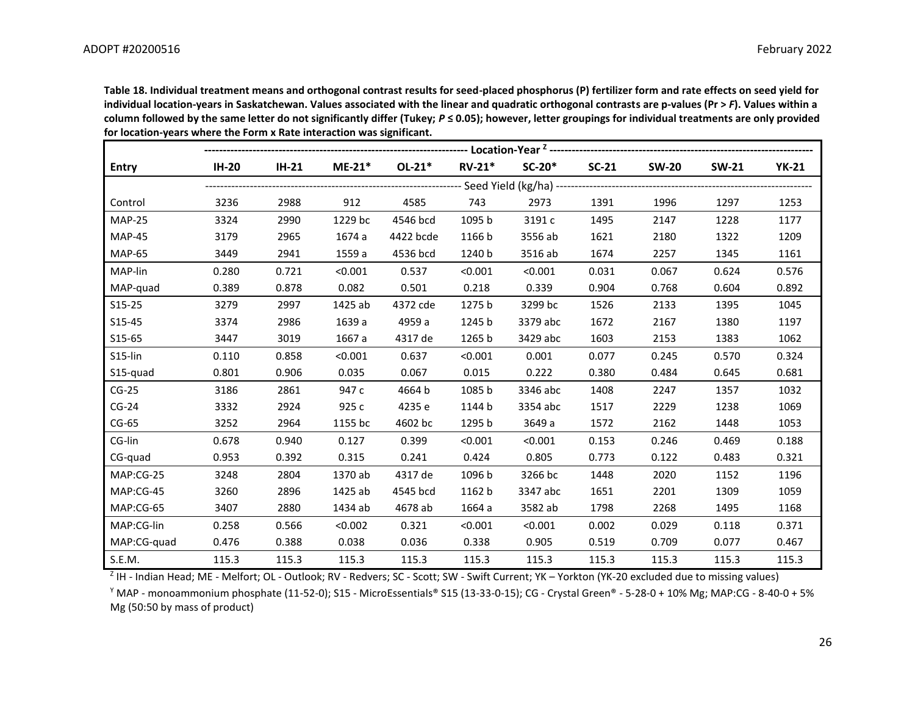**Table 18. Individual treatment means and orthogonal contrast results for seed-placed phosphorus (P) fertilizer form and rate effects on seed yield for**  individual location-years in Saskatchewan. Values associated with the linear and quadratic orthogonal contrasts are p-values (Pr > F). Values within a **column followed by the same letter do not significantly differ (Tukey;** *P* **≤ 0.05); however, letter groupings for individual treatments are only provided for location-years where the Form x Rate interaction was significant.**

| <b>Entry</b>  | <b>IH-20</b> | $IH-21$ | $ME-21*$ | $OL-21*$  | $RV-21*$ | $SC-20*$ | $SC-21$ | <b>SW-20</b> | <b>SW-21</b> | <b>YK-21</b> |
|---------------|--------------|---------|----------|-----------|----------|----------|---------|--------------|--------------|--------------|
|               |              |         |          |           |          |          |         |              |              |              |
| Control       | 3236         | 2988    | 912      | 4585      | 743      | 2973     | 1391    | 1996         | 1297         | 1253         |
| <b>MAP-25</b> | 3324         | 2990    | 1229 bc  | 4546 bcd  | 1095 b   | 3191 c   | 1495    | 2147         | 1228         | 1177         |
| <b>MAP-45</b> | 3179         | 2965    | 1674 a   | 4422 bcde | 1166 b   | 3556 ab  | 1621    | 2180         | 1322         | 1209         |
| <b>MAP-65</b> | 3449         | 2941    | 1559 a   | 4536 bcd  | 1240 b   | 3516 ab  | 1674    | 2257         | 1345         | 1161         |
| MAP-lin       | 0.280        | 0.721   | < 0.001  | 0.537     | < 0.001  | < 0.001  | 0.031   | 0.067        | 0.624        | 0.576        |
| MAP-quad      | 0.389        | 0.878   | 0.082    | 0.501     | 0.218    | 0.339    | 0.904   | 0.768        | 0.604        | 0.892        |
| $S15-25$      | 3279         | 2997    | 1425 ab  | 4372 cde  | 1275 b   | 3299 bc  | 1526    | 2133         | 1395         | 1045         |
| S15-45        | 3374         | 2986    | 1639 a   | 4959 a    | 1245 b   | 3379 abc | 1672    | 2167         | 1380         | 1197         |
| S15-65        | 3447         | 3019    | 1667 a   | 4317 de   | 1265 b   | 3429 abc | 1603    | 2153         | 1383         | 1062         |
| S15-lin       | 0.110        | 0.858   | < 0.001  | 0.637     | < 0.001  | 0.001    | 0.077   | 0.245        | 0.570        | 0.324        |
| S15-quad      | 0.801        | 0.906   | 0.035    | 0.067     | 0.015    | 0.222    | 0.380   | 0.484        | 0.645        | 0.681        |
| $CG-25$       | 3186         | 2861    | 947 c    | 4664 b    | 1085 b   | 3346 abc | 1408    | 2247         | 1357         | 1032         |
| $CG-24$       | 3332         | 2924    | 925 c    | 4235 e    | 1144 b   | 3354 abc | 1517    | 2229         | 1238         | 1069         |
| $CG-65$       | 3252         | 2964    | 1155 bc  | 4602 bc   | 1295 b   | 3649 a   | 1572    | 2162         | 1448         | 1053         |
| CG-lin        | 0.678        | 0.940   | 0.127    | 0.399     | < 0.001  | < 0.001  | 0.153   | 0.246        | 0.469        | 0.188        |
| CG-quad       | 0.953        | 0.392   | 0.315    | 0.241     | 0.424    | 0.805    | 0.773   | 0.122        | 0.483        | 0.321        |
| MAP:CG-25     | 3248         | 2804    | 1370 ab  | 4317 de   | 1096 b   | 3266 bc  | 1448    | 2020         | 1152         | 1196         |
| MAP:CG-45     | 3260         | 2896    | 1425 ab  | 4545 bcd  | 1162 b   | 3347 abc | 1651    | 2201         | 1309         | 1059         |
| MAP:CG-65     | 3407         | 2880    | 1434 ab  | 4678 ab   | 1664 a   | 3582 ab  | 1798    | 2268         | 1495         | 1168         |
| MAP:CG-lin    | 0.258        | 0.566   | < 0.002  | 0.321     | < 0.001  | < 0.001  | 0.002   | 0.029        | 0.118        | 0.371        |
| MAP:CG-quad   | 0.476        | 0.388   | 0.038    | 0.036     | 0.338    | 0.905    | 0.519   | 0.709        | 0.077        | 0.467        |
| S.E.M.        | 115.3        | 115.3   | 115.3    | 115.3     | 115.3    | 115.3    | 115.3   | 115.3        | 115.3        | 115.3        |

<sup>Z</sup> IH - Indian Head; ME - Melfort; OL - Outlook; RV - Redvers; SC - Scott; SW - Swift Current; YK – Yorkton (YK-20 excluded due to missing values)

<sup>Y</sup> MAP - monoammonium phosphate (11-52-0); S15 - MicroEssentials® S15 (13-33-0-15); CG - Crystal Green® - 5-28-0 + 10% Mg; MAP:CG - 8-40-0 + 5% Mg (50:50 by mass of product)